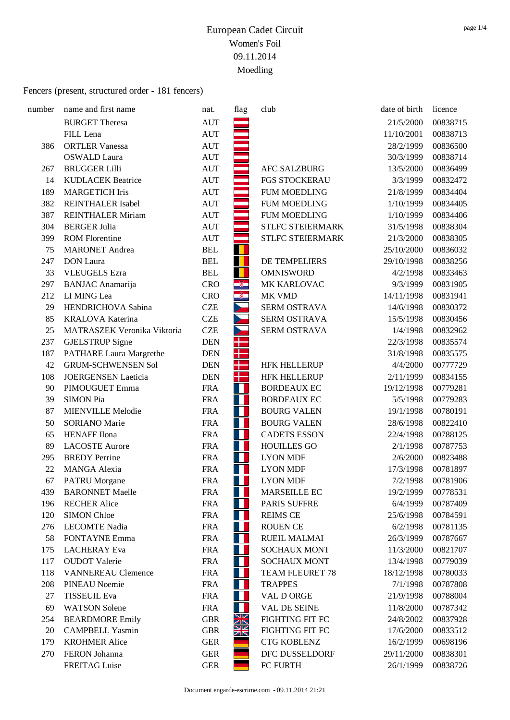| number | name and first name            | nat.       | flag                  | club                   | date of birth | licence  |
|--------|--------------------------------|------------|-----------------------|------------------------|---------------|----------|
|        | <b>BURGET Theresa</b>          | <b>AUT</b> |                       |                        | 21/5/2000     | 00838715 |
|        | FILL Lena                      | <b>AUT</b> |                       |                        | 11/10/2001    | 00838713 |
| 386    | <b>ORTLER Vanessa</b>          | <b>AUT</b> |                       |                        | 28/2/1999     | 00836500 |
|        | <b>OSWALD Laura</b>            | <b>AUT</b> |                       |                        | 30/3/1999     | 00838714 |
| 267    | <b>BRUGGER Lilli</b>           | <b>AUT</b> |                       | <b>AFC SALZBURG</b>    | 13/5/2000     | 00836499 |
| 14     | <b>KUDLACEK Beatrice</b>       | <b>AUT</b> |                       | FGS STOCKERAU          | 3/3/1999      | 00832472 |
| 189    | <b>MARGETICH Iris</b>          | <b>AUT</b> |                       | <b>FUM MOEDLING</b>    | 21/8/1999     | 00834404 |
| 382    | <b>REINTHALER Isabel</b>       | <b>AUT</b> |                       | <b>FUM MOEDLING</b>    | 1/10/1999     | 00834405 |
| 387    | <b>REINTHALER Miriam</b>       | <b>AUT</b> |                       | <b>FUM MOEDLING</b>    | 1/10/1999     | 00834406 |
| 304    | <b>BERGER Julia</b>            | <b>AUT</b> |                       | STLFC STEIERMARK       | 31/5/1998     | 00838304 |
| 399    | <b>ROM Florentine</b>          | <b>AUT</b> |                       | STLFC STEIERMARK       | 21/3/2000     | 00838305 |
| 75     | <b>MARONET</b> Andrea          | <b>BEL</b> |                       |                        | 25/10/2000    | 00836032 |
| 247    | <b>DON</b> Laura               | <b>BEL</b> | ш                     | DE TEMPELIERS          | 29/10/1998    | 00838256 |
| 33     | <b>VLEUGELS</b> Ezra           | <b>BEL</b> | П                     | <b>OMNISWORD</b>       | 4/2/1998      | 00833463 |
| 297    | <b>BANJAC</b> Anamarija        | <b>CRO</b> | $\bullet$             | MK KARLOVAC            | 9/3/1999      | 00831905 |
| 212    | LI MING Lea                    | <b>CRO</b> | -8                    | MK VMD                 | 14/11/1998    | 00831941 |
| 29     | HENDRICHOVA Sabina             | <b>CZE</b> | $\blacktriangleright$ | <b>SERM OSTRAVA</b>    | 14/6/1998     | 00830372 |
| 85     | <b>KRALOVA Katerina</b>        | <b>CZE</b> | D.                    | SERM OSTRAVA           | 15/5/1998     | 00830456 |
| 25     | MATRASZEK Veronika Viktoria    | <b>CZE</b> |                       | SERM OSTRAVA           | 1/4/1998      | 00832962 |
| 237    | <b>GJELSTRUP</b> Signe         | <b>DEN</b> | ╉                     |                        | 22/3/1998     | 00835574 |
| 187    | <b>PATHARE Laura Margrethe</b> | <b>DEN</b> | ╉                     |                        | 31/8/1998     | 00835575 |
| 42     | <b>GRUM-SCHWENSEN Sol</b>      | <b>DEN</b> | ╉                     | <b>HFK HELLERUP</b>    | 4/4/2000      | 00777729 |
| 108    | <b>JOERGENSEN</b> Laeticia     | <b>DEN</b> | ╉                     | <b>HFK HELLERUP</b>    | 2/11/1999     | 00834155 |
| 90     | PIMOUGUET Emma                 | <b>FRA</b> | П                     | <b>BORDEAUX EC</b>     | 19/12/1998    | 00779281 |
| 39     | <b>SIMON Pia</b>               | <b>FRA</b> | Ш                     | <b>BORDEAUX EC</b>     | 5/5/1998      | 00779283 |
| 87     | <b>MIENVILLE Melodie</b>       | <b>FRA</b> | Ш                     | <b>BOURG VALEN</b>     | 19/1/1998     | 00780191 |
| 50     | <b>SORIANO</b> Marie           | <b>FRA</b> | H                     | <b>BOURG VALEN</b>     | 28/6/1998     | 00822410 |
| 65     | <b>HENAFF</b> Ilona            | <b>FRA</b> | T                     | <b>CADETS ESSON</b>    | 22/4/1998     | 00788125 |
| 89     | <b>LACOSTE Aurore</b>          | <b>FRA</b> | Ш                     | <b>HOUILLES GO</b>     | 2/1/1998      | 00787753 |
| 295    | <b>BREDY</b> Perrine           | <b>FRA</b> | <b>TIME</b>           | <b>LYON MDF</b>        | 2/6/2000      | 00823488 |
| 22     | <b>MANGA</b> Alexia            | <b>FRA</b> | H                     | <b>LYON MDF</b>        | 17/3/1998     | 00781897 |
| 67     | <b>PATRU</b> Morgane           | <b>FRA</b> | W                     | <b>LYON MDF</b>        | 7/2/1998      | 00781906 |
| 439    | <b>BARONNET Maelle</b>         | <b>FRA</b> | H                     | <b>MARSEILLE EC</b>    | 19/2/1999     | 00778531 |
| 196    | <b>RECHER Alice</b>            | <b>FRA</b> |                       | PARIS SUFFRE           | 6/4/1999      | 00787409 |
| 120    | <b>SIMON Chloe</b>             | <b>FRA</b> | H                     | <b>REIMS CE</b>        | 25/6/1998     | 00784591 |
| 276    | <b>LECOMTE Nadia</b>           | <b>FRA</b> |                       | <b>ROUEN CE</b>        | 6/2/1998      | 00781135 |
| 58     | <b>FONTAYNE Emma</b>           | <b>FRA</b> | H                     | <b>RUEIL MALMAI</b>    | 26/3/1999     | 00787667 |
| 175    | <b>LACHERAY</b> Eva            | <b>FRA</b> | H                     | <b>SOCHAUX MONT</b>    | 11/3/2000     | 00821707 |
| 117    | <b>OUDOT</b> Valerie           | <b>FRA</b> |                       | <b>SOCHAUX MONT</b>    | 13/4/1998     | 00779039 |
| 118    | <b>VANNEREAU Clemence</b>      | <b>FRA</b> |                       | <b>TEAM FLEURET 78</b> | 18/12/1998    | 00780033 |
| 208    | <b>PINEAU Noemie</b>           | <b>FRA</b> |                       | <b>TRAPPES</b>         | 7/1/1998      | 00787808 |
| 27     | <b>TISSEUIL Eva</b>            | <b>FRA</b> | H                     | VAL D ORGE             | 21/9/1998     | 00788004 |
| 69     | <b>WATSON</b> Solene           | <b>FRA</b> |                       | <b>VAL DE SEINE</b>    | 11/8/2000     | 00787342 |
| 254    | <b>BEARDMORE Emily</b>         | <b>GBR</b> | Ж                     | FIGHTING FIT FC        | 24/8/2002     | 00837928 |
| 20     | <b>CAMPBELL Yasmin</b>         | <b>GBR</b> | XK                    | <b>FIGHTING FIT FC</b> | 17/6/2000     | 00833512 |
| 179    | <b>KROHMER Alice</b>           | <b>GER</b> |                       | <b>CTG KOBLENZ</b>     | 16/2/1999     | 00698196 |
| 270    | FERON Johanna                  | <b>GER</b> |                       | DFC DUSSELDORF         | 29/11/2000    | 00838301 |
|        | <b>FREITAG</b> Luise           | <b>GER</b> |                       | FC FURTH               | 26/1/1999     | 00838726 |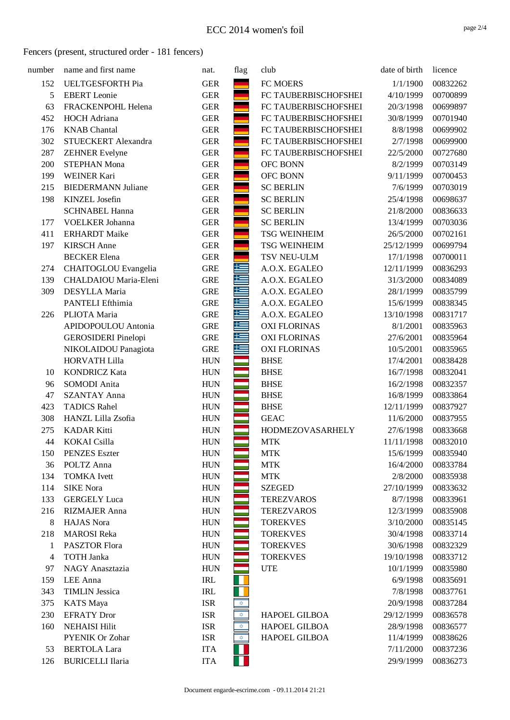| number | name and first name                     | nat.                     | flag         | club                 | date of birth          | licence              |
|--------|-----------------------------------------|--------------------------|--------------|----------------------|------------------------|----------------------|
| 152    | UELTGESFORTH Pia                        | <b>GER</b>               |              | FC MOERS             | 1/1/1900               | 00832262             |
| 5      | <b>EBERT</b> Leonie                     | <b>GER</b>               |              | FC TAUBERBISCHOFSHEI | 4/10/1999              | 00700899             |
| 63     | FRACKENPOHL Helena                      | <b>GER</b>               |              | FC TAUBERBISCHOFSHEI | 20/3/1998              | 00699897             |
| 452    | <b>HOCH</b> Adriana                     | <b>GER</b>               |              | FC TAUBERBISCHOFSHEI | 30/8/1999              | 00701940             |
| 176    | <b>KNAB</b> Chantal                     | <b>GER</b>               |              | FC TAUBERBISCHOFSHEI | 8/8/1998               | 00699902             |
| 302    | STUECKERT Alexandra                     | <b>GER</b>               |              | FC TAUBERBISCHOFSHEI | 2/7/1998               | 00699900             |
| 287    | <b>ZEHNER Evelyne</b>                   | <b>GER</b>               |              | FC TAUBERBISCHOFSHEI | 22/5/2000              | 00727680             |
| 200    | <b>STEPHAN Mona</b>                     | <b>GER</b>               |              | OFC BONN             | 8/2/1999               | 00703149             |
| 199    | WEINER Kari                             | <b>GER</b>               |              | OFC BONN             | 9/11/1999              | 00700453             |
| 215    | <b>BIEDERMANN Juliane</b>               | <b>GER</b>               |              | <b>SC BERLIN</b>     | 7/6/1999               | 00703019             |
| 198    | <b>KINZEL</b> Josefin                   | <b>GER</b>               |              | <b>SC BERLIN</b>     | 25/4/1998              | 00698637             |
|        | <b>SCHNABEL Hanna</b>                   | <b>GER</b>               |              | <b>SC BERLIN</b>     | 21/8/2000              | 00836633             |
| 177    | VOELKER Johanna                         | <b>GER</b>               |              | <b>SC BERLIN</b>     | 13/4/1999              | 00703036             |
| 411    | <b>ERHARDT</b> Maike                    | <b>GER</b>               |              | <b>TSG WEINHEIM</b>  | 26/5/2000              | 00702161             |
| 197    | <b>KIRSCH Anne</b>                      | <b>GER</b>               |              | <b>TSG WEINHEIM</b>  | 25/12/1999             | 00699794             |
|        | <b>BECKER</b> Elena                     | <b>GER</b>               |              | TSV NEU-ULM          | 17/1/1998              | 00700011             |
| 274    | CHAITOGLOU Evangelia                    | <b>GRE</b>               | 些            | A.O.X. EGALEO        | 12/11/1999             | 00836293             |
| 139    | CHALDAIOU Maria-Eleni                   | <b>GRE</b>               |              | A.O.X. EGALEO        | 31/3/2000              | 00834089             |
| 309    | DESYLLA Maria                           | <b>GRE</b>               |              | A.O.X. EGALEO        | 28/1/1999              | 00835799             |
|        | PANTELI Efthimia                        | <b>GRE</b>               |              | A.O.X. EGALEO        | 15/6/1999              | 00838345             |
| 226    | PLIOTA Maria                            | <b>GRE</b>               | 共            | A.O.X. EGALEO        | 13/10/1998             | 00831717             |
|        | APIDOPOULOU Antonia                     | <b>GRE</b>               | €            | <b>OXI FLORINAS</b>  | 8/1/2001               | 00835963             |
|        | <b>GEROSIDERI</b> Pinelopi              | <b>GRE</b>               | 与            | <b>OXI FLORINAS</b>  | 27/6/2001              | 00835964             |
|        | NIKOLAIDOU Panagiota                    | <b>GRE</b>               | 隼            | <b>OXI FLORINAS</b>  | 10/5/2001              | 00835965             |
|        | <b>HORVATH Lilla</b>                    | <b>HUN</b>               |              | <b>BHSE</b>          | 17/4/2001              | 00838428             |
| 10     | <b>KONDRICZ Kata</b>                    | <b>HUN</b>               |              | <b>BHSE</b>          | 16/7/1998              | 00832041             |
| 96     | SOMODI Anita                            | <b>HUN</b>               |              | <b>BHSE</b>          | 16/2/1998              | 00832357             |
| 47     | <b>SZANTAY Anna</b>                     | <b>HUN</b>               |              | <b>BHSE</b>          | 16/8/1999              | 00833864             |
| 423    | <b>TADICS Rahel</b>                     | <b>HUN</b>               |              | <b>BHSE</b>          | 12/11/1999             | 00837927             |
| 308    | HANZL Lilla Zsofia                      | <b>HUN</b>               |              | <b>GEAC</b>          | 11/6/2000              | 00837955             |
| 275    | <b>KADAR Kitti</b>                      | <b>HUN</b>               |              | HODMEZOVASARHELY     | 27/6/1998              | 00833668             |
| 44     | <b>KOKAI</b> Csilla                     | <b>HUN</b>               |              | <b>MTK</b>           | 11/11/1998             | 00832010             |
| 150    | <b>PENZES</b> Eszter                    | <b>HUN</b>               |              | <b>MTK</b>           | 15/6/1999              | 00835940             |
| 36     | POLTZ Anna                              | <b>HUN</b>               |              | <b>MTK</b>           | 16/4/2000              | 00833784             |
| 134    | <b>TOMKA</b> Ivett                      | <b>HUN</b>               |              | <b>MTK</b>           | 2/8/2000               | 00835938             |
| 114    | <b>SIKE Nora</b>                        | <b>HUN</b>               |              | <b>SZEGED</b>        | 27/10/1999             | 00833632             |
| 133    | <b>GERGELY</b> Luca                     | <b>HUN</b>               |              | <b>TEREZVAROS</b>    | 8/7/1998               | 00833961             |
| 216    | <b>RIZMAJER Anna</b>                    | <b>HUN</b>               |              | <b>TEREZVAROS</b>    | 12/3/1999              | 00835908             |
| 8      | HAJAS Nora                              | <b>HUN</b>               |              | <b>TOREKVES</b>      | 3/10/2000              | 00835145             |
| 218    | <b>MAROSI</b> Reka                      | <b>HUN</b>               |              | <b>TOREKVES</b>      | 30/4/1998              | 00833714             |
| 1      | PASZTOR Flora                           | <b>HUN</b>               |              | <b>TOREKVES</b>      | 30/6/1998              | 00832329             |
| 4      | <b>TOTH Janka</b>                       | <b>HUN</b>               |              | <b>TOREKVES</b>      | 19/10/1998             | 00833712             |
| 97     | NAGY Anasztazia                         | <b>HUN</b>               |              | <b>UTE</b>           | 10/1/1999              | 00835980             |
| 159    | LEE Anna                                | IRL                      |              |                      | 6/9/1998               | 00835691             |
| 343    | <b>TIMLIN Jessica</b>                   | IRL                      |              |                      | 7/8/1998               | 00837761             |
| 375    | <b>KATS</b> Maya                        | <b>ISR</b>               | ✿            |                      | 20/9/1998              | 00837284             |
| 230    | <b>EFRATY Dror</b>                      | <b>ISR</b>               | ✿            | <b>HAPOEL GILBOA</b> | 29/12/1999             | 00836578             |
| 160    | <b>NEHAISI Hilit</b><br>PYENIK Or Zohar | <b>ISR</b><br><b>ISR</b> | $\bigotimes$ | <b>HAPOEL GILBOA</b> | 28/9/1998              | 00836577             |
|        | <b>BERTOLA Lara</b>                     | <b>ITA</b>               | 森            | HAPOEL GILBOA        | 11/4/1999<br>7/11/2000 | 00838626             |
| 53     | <b>BURICELLI Ilaria</b>                 |                          |              |                      | 29/9/1999              | 00837236<br>00836273 |
| 126    |                                         | <b>ITA</b>               |              |                      |                        |                      |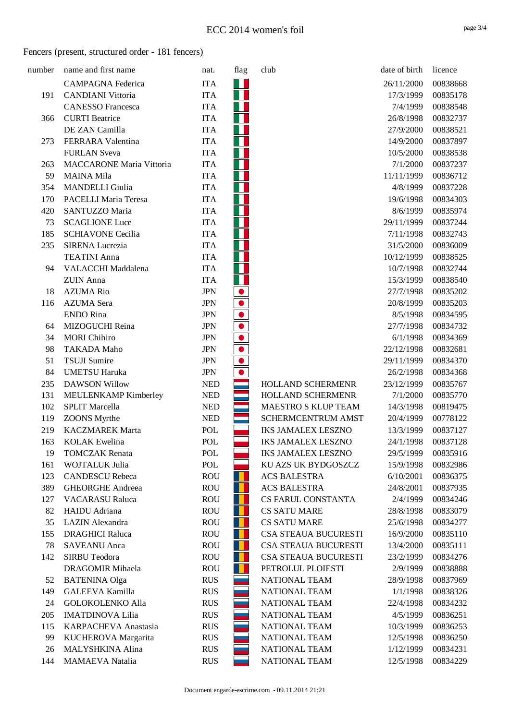| number | name and first name             | nat.       | flag | club                      | date of birth | licence  |
|--------|---------------------------------|------------|------|---------------------------|---------------|----------|
|        | <b>CAMPAGNA</b> Federica        | <b>ITA</b> | Ш    |                           | 26/11/2000    | 00838668 |
| 191    | <b>CANDIANI</b> Vittoria        | <b>ITA</b> |      |                           | 17/3/1999     | 00835178 |
|        | <b>CANESSO Francesca</b>        | <b>ITA</b> |      |                           | 7/4/1999      | 00838548 |
| 366    | <b>CURTI</b> Beatrice           | <b>ITA</b> |      |                           | 26/8/1998     | 00832737 |
|        | DE ZAN Camilla                  | <b>ITA</b> |      |                           | 27/9/2000     | 00838521 |
| 273    | FERRARA Valentina               | <b>ITA</b> |      |                           | 14/9/2000     | 00837897 |
|        | <b>FURLAN Sveva</b>             | <b>ITA</b> |      |                           | 10/5/2000     | 00838538 |
| 263    | <b>MACCARONE Maria Vittoria</b> | <b>ITA</b> |      |                           | 7/1/2000      | 00837237 |
| 59     | <b>MAINA Mila</b>               | <b>ITA</b> |      |                           | 11/11/1999    | 00836712 |
| 354    | <b>MANDELLI</b> Giulia          | <b>ITA</b> |      |                           | 4/8/1999      | 00837228 |
| 170    | PACELLI Maria Teresa            | <b>ITA</b> |      |                           | 19/6/1998     | 00834303 |
| 420    | SANTUZZO Maria                  | <b>ITA</b> |      |                           | 8/6/1999      | 00835974 |
| 73     | <b>SCAGLIONE Luce</b>           | <b>ITA</b> |      |                           | 29/11/1999    | 00837244 |
| 185    | <b>SCHIAVONE Cecilia</b>        | <b>ITA</b> |      |                           | 7/11/1998     | 00832743 |
| 235    | SIRENA Lucrezia                 | <b>ITA</b> |      |                           | 31/5/2000     | 00836009 |
|        | <b>TEATINI Anna</b>             | <b>ITA</b> |      |                           | 10/12/1999    | 00838525 |
| 94     | VALACCHI Maddalena              | <b>ITA</b> |      |                           | 10/7/1998     | 00832744 |
|        | <b>ZUIN</b> Anna                | <b>ITA</b> |      |                           | 15/3/1999     | 00838540 |
| 18     | <b>AZUMA Rio</b>                | <b>JPN</b> |      |                           | 27/7/1998     | 00835202 |
| 116    | <b>AZUMA</b> Sera               | <b>JPN</b> |      |                           | 20/8/1999     | 00835203 |
|        | <b>ENDO</b> Rina                | <b>JPN</b> |      |                           | 8/5/1998      | 00834595 |
| 64     | MIZOGUCHI Reina                 | <b>JPN</b> |      |                           | 27/7/1998     | 00834732 |
| 34     | <b>MORI</b> Chihiro             | <b>JPN</b> |      |                           | 6/1/1998      | 00834369 |
| 98     | <b>TAKADA Maho</b>              | <b>JPN</b> |      |                           | 22/12/1998    | 00832681 |
| 51     | <b>TSUJI Sumire</b>             | <b>JPN</b> |      |                           | 29/11/1999    | 00834370 |
| 84     | <b>UMETSU Haruka</b>            | <b>JPN</b> |      |                           | 26/2/1998     | 00834368 |
| 235    | <b>DAWSON Willow</b>            | <b>NED</b> |      | HOLLAND SCHERMENR         | 23/12/1999    | 00835767 |
| 131    | MEULENKAMP Kimberley            | <b>NED</b> |      | HOLLAND SCHERMENR         | 7/1/2000      | 00835770 |
| 102    | <b>SPLIT Marcella</b>           | <b>NED</b> |      | MAESTRO S KLUP TEAM       | 14/3/1998     | 00819475 |
| 119    | <b>ZOONS</b> Myrthe             | <b>NED</b> |      | SCHERMCENTRUM AMST        | 20/4/1999     | 00778122 |
| 219    | <b>KACZMAREK Marta</b>          | POL        |      | <b>IKS JAMALEX LESZNO</b> | 13/3/1999     | 00837127 |
| 163    | <b>KOLAK</b> Ewelina            | POL        |      | <b>IKS JAMALEX LESZNO</b> | 24/1/1998     | 00837128 |
| 19     | <b>TOMCZAK</b> Renata           | POL        |      | <b>IKS JAMALEX LESZNO</b> | 29/5/1999     | 00835916 |
| 161    | WOJTALUK Julia                  | POL        |      | KU AZS UK BYDGOSZCZ       | 15/9/1998     | 00832986 |
| 123    | <b>CANDESCU Rebeca</b>          | <b>ROU</b> |      | <b>ACS BALESTRA</b>       | 6/10/2001     | 00836375 |
| 389    | <b>GHEORGHE Andreea</b>         | <b>ROU</b> |      | <b>ACS BALESTRA</b>       | 24/8/2001     | 00837935 |
| 127    | <b>VACARASU Raluca</b>          | <b>ROU</b> |      | CS FARUL CONSTANTA        | 2/4/1999      | 00834246 |
| 82     | HAIDU Adriana                   | <b>ROU</b> | u    | <b>CS SATU MARE</b>       | 28/8/1998     | 00833079 |
| 35     | LAZIN Alexandra                 | <b>ROU</b> |      | <b>CS SATU MARE</b>       | 25/6/1998     | 00834277 |
| 155    | <b>DRAGHICI Raluca</b>          | <b>ROU</b> |      | CSA STEAUA BUCURESTI      | 16/9/2000     | 00835110 |
| 78     | <b>SAVEANU</b> Anca             | <b>ROU</b> |      | CSA STEAUA BUCURESTI      | 13/4/2000     | 00835111 |
| 142    | SIRBU Teodora                   | <b>ROU</b> |      | CSA STEAUA BUCURESTI      | 23/2/1999     | 00834276 |
|        | <b>DRAGOMIR Mihaela</b>         | <b>ROU</b> |      | PETROLUL PLOIESTI         | 2/9/1999      | 00838888 |
| 52     | <b>BATENINA Olga</b>            | <b>RUS</b> |      | <b>NATIONAL TEAM</b>      | 28/9/1998     | 00837969 |
| 149    | <b>GALEEVA Kamilla</b>          | <b>RUS</b> |      | NATIONAL TEAM             | 1/1/1998      | 00838326 |
| 24     | <b>GOLOKOLENKO Alla</b>         | <b>RUS</b> |      | NATIONAL TEAM             | 22/4/1998     | 00834232 |
| 205    | <b>IMATDINOVA Lilia</b>         | <b>RUS</b> |      | NATIONAL TEAM             | 4/5/1999      | 00836251 |
| 115    | KARPACHEVA Anastasia            | <b>RUS</b> |      | NATIONAL TEAM             | 10/3/1999     | 00836253 |
| 99     | KUCHEROVA Margarita             | <b>RUS</b> |      | NATIONAL TEAM             | 12/5/1998     | 00836250 |
| 26     | MALYSHKINA Alina                | <b>RUS</b> |      | NATIONAL TEAM             | 1/12/1999     | 00834231 |
| 144    | <b>MAMAEVA</b> Natalia          | <b>RUS</b> |      | NATIONAL TEAM             | 12/5/1998     | 00834229 |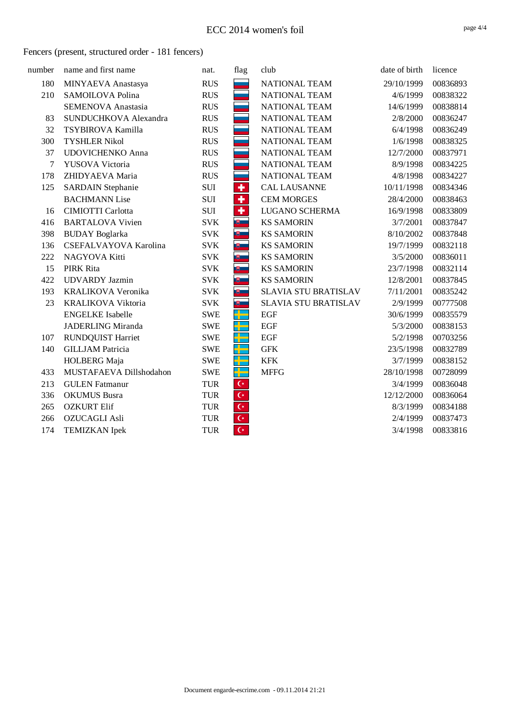| number | name and first name       | nat.       | flag                    | club                        | date of birth | licence  |
|--------|---------------------------|------------|-------------------------|-----------------------------|---------------|----------|
| 180    | MINYAEVA Anastasya        | <b>RUS</b> |                         | <b>NATIONAL TEAM</b>        | 29/10/1999    | 00836893 |
| 210    | SAMOILOVA Polina          | <b>RUS</b> |                         | <b>NATIONAL TEAM</b>        | 4/6/1999      | 00838322 |
|        | <b>SEMENOVA Anastasia</b> | <b>RUS</b> |                         | <b>NATIONAL TEAM</b>        | 14/6/1999     | 00838814 |
| 83     | SUNDUCHKOVA Alexandra     | <b>RUS</b> |                         | <b>NATIONAL TEAM</b>        | 2/8/2000      | 00836247 |
| 32     | TSYBIROVA Kamilla         | <b>RUS</b> |                         | <b>NATIONAL TEAM</b>        | 6/4/1998      | 00836249 |
| 300    | <b>TYSHLER Nikol</b>      | <b>RUS</b> |                         | <b>NATIONAL TEAM</b>        | 1/6/1998      | 00838325 |
| 37     | <b>UDOVICHENKO Anna</b>   | <b>RUS</b> |                         | NATIONAL TEAM               | 12/7/2000     | 00837971 |
| 7      | YUSOVA Victoria           | <b>RUS</b> |                         | <b>NATIONAL TEAM</b>        | 8/9/1998      | 00834225 |
| 178    | ZHIDYAEVA Maria           | <b>RUS</b> |                         | NATIONAL TEAM               | 4/8/1998      | 00834227 |
| 125    | <b>SARDAIN Stephanie</b>  | SUI        | $\overline{\textbf{r}}$ | <b>CAL LAUSANNE</b>         | 10/11/1998    | 00834346 |
|        | <b>BACHMANN Lise</b>      | SUI        | ٠                       | <b>CEM MORGES</b>           | 28/4/2000     | 00838463 |
| 16     | <b>CIMIOTTI Carlotta</b>  | SUI        | ٠                       | LUGANO SCHERMA              | 16/9/1998     | 00833809 |
| 416    | <b>BARTALOVA Vivien</b>   | <b>SVK</b> | 19 -                    | <b>KS SAMORIN</b>           | 3/7/2001      | 00837847 |
| 398    | <b>BUDAY</b> Boglarka     | <b>SVK</b> | $\overline{\mathbf{v}}$ | <b>KS SAMORIN</b>           | 8/10/2002     | 00837848 |
| 136    | CSEFALVAYOVA Karolina     | <b>SVK</b> | 要                       | <b>KS SAMORIN</b>           | 19/7/1999     | 00832118 |
| 222    | NAGYOVA Kitti             | <b>SVK</b> | $\mathbf{E}$            | <b>KS SAMORIN</b>           | 3/5/2000      | 00836011 |
| 15     | PIRK Rita                 | <b>SVK</b> | $\mathbb{B}$ .          | <b>KS SAMORIN</b>           | 23/7/1998     | 00832114 |
| 422    | <b>UDVARDY</b> Jazmin     | <b>SVK</b> | 嗖一                      | <b>KS SAMORIN</b>           | 12/8/2001     | 00837845 |
| 193    | KRALIKOVA Veronika        | <b>SVK</b> | $\mathbb{R}$            | <b>SLAVIA STU BRATISLAV</b> | 7/11/2001     | 00835242 |
| 23     | <b>KRALIKOVA Viktoria</b> | <b>SVK</b> | <u>கு .</u>             | <b>SLAVIA STU BRATISLAV</b> | 2/9/1999      | 00777508 |
|        | <b>ENGELKE</b> Isabelle   | <b>SWE</b> | ╄                       | <b>EGF</b>                  | 30/6/1999     | 00835579 |
|        | <b>JADERLING Miranda</b>  | <b>SWE</b> | H.<br>H                 | EGF                         | 5/3/2000      | 00838153 |
| 107    | <b>RUNDQUIST Harriet</b>  | <b>SWE</b> | ╄                       | <b>EGF</b>                  | 5/2/1998      | 00703256 |
| 140    | <b>GILLJAM</b> Patricia   | <b>SWE</b> | ₩                       | <b>GFK</b>                  | 23/5/1998     | 00832789 |
|        | HOLBERG Maja              | <b>SWE</b> | H.                      | <b>KFK</b>                  | 3/7/1999      | 00838152 |
| 433    | MUSTAFAEVA Dillshodahon   | <b>SWE</b> | 유물                      | <b>MFFG</b>                 | 28/10/1998    | 00728099 |
| 213    | <b>GULEN</b> Fatmanur     | <b>TUR</b> | $\mathsf{C}^\star$      |                             | 3/4/1999      | 00836048 |
| 336    | <b>OKUMUS</b> Busra       | <b>TUR</b> | $\mathsf{C}^\star$      |                             | 12/12/2000    | 00836064 |
| 265    | <b>OZKURT Elif</b>        | <b>TUR</b> | $\mathsf{C}^\star$      |                             | 8/3/1999      | 00834188 |
| 266    | <b>OZUCAGLI Asli</b>      | <b>TUR</b> | $\mathsf{C}^\star$      |                             | 2/4/1999      | 00837473 |
| 174    | <b>TEMIZKAN</b> Ipek      | <b>TUR</b> | $\overline{C}$          |                             | 3/4/1998      | 00833816 |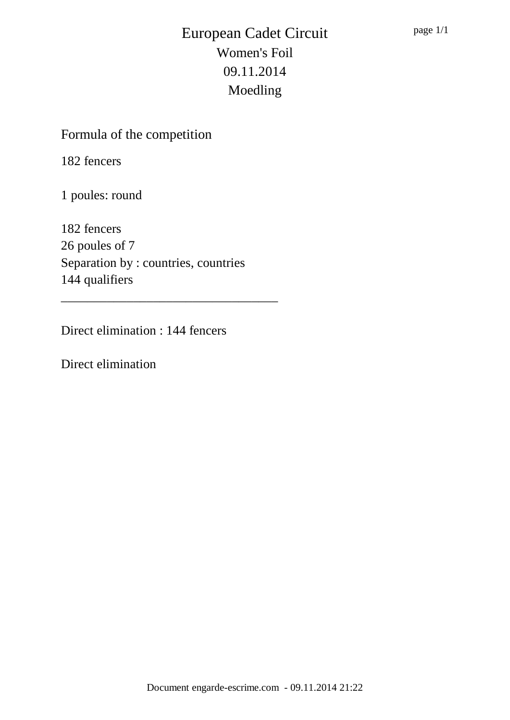Formula of the competition

182 fencers

1 poules: round

182 fencers 26 poules of 7 Separation by : countries, countries 144 qualifiers

\_\_\_\_\_\_\_\_\_\_\_\_\_\_\_\_\_\_\_\_\_\_\_\_\_\_\_\_\_\_\_\_\_

Direct elimination : 144 fencers

Direct elimination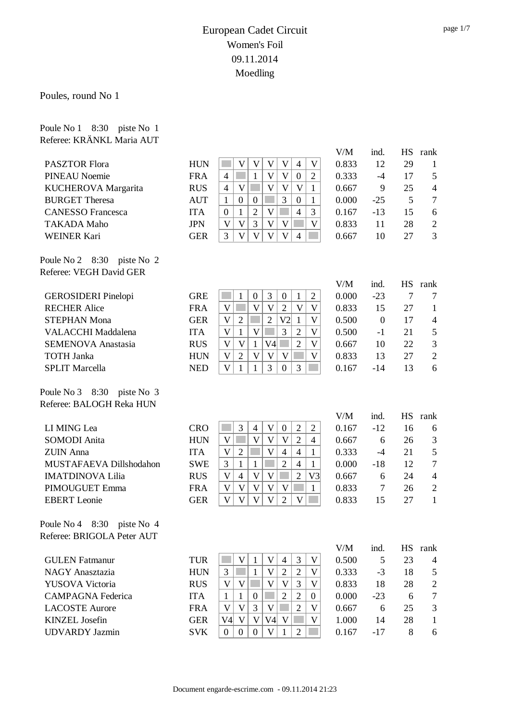Poules, round No 1

Poule No 1 8:30 piste No 1

| Referee: KRÄNKL Maria AUT    |            |                                                                                                                      |       |                  |           |                |
|------------------------------|------------|----------------------------------------------------------------------------------------------------------------------|-------|------------------|-----------|----------------|
|                              |            |                                                                                                                      | V/M   | ind.             | <b>HS</b> | rank           |
| <b>PASZTOR Flora</b>         | <b>HUN</b> | V<br>$\mathbf V$<br>V<br>V<br>$\overline{4}$<br>$\mathbf V$                                                          | 0.833 | 12               | 29        | $\mathbf{1}$   |
| <b>PINEAU Noemie</b>         | <b>FRA</b> | $\mathbf{V}$<br>$\overline{\mathsf{V}}$<br>$\overline{2}$<br>$\mathbf{1}$<br>$\boldsymbol{0}$<br>$\overline{4}$      | 0.333 | $-4$             | 17        | 5              |
| KUCHEROVA Margarita          | <b>RUS</b> | $\overline{\mathsf{V}}$<br>$\overline{\mathsf{V}}$<br>$\mathbf V$<br>$\mathbf V$<br>$\overline{4}$<br>1              | 0.667 | 9                | 25        | $\overline{4}$ |
| <b>BURGET Theresa</b>        | <b>AUT</b> | 3<br>$\overline{0}$<br>$\overline{0}$<br>$\mathbf{1}$<br>$\boldsymbol{0}$<br>1                                       | 0.000 | $-25$            | 5         | $\tau$         |
| <b>CANESSO</b> Francesca     | <b>ITA</b> | $\overline{\mathsf{V}}$<br>$\overline{4}$<br>$\overline{2}$<br>3<br>$\boldsymbol{0}$<br>1                            | 0.167 | $-13$            | 15        | 6              |
| <b>TAKADA Maho</b>           | <b>JPN</b> | $\overline{V}$<br>$\mathbf{V}$<br>3<br>V<br>$\mathbf V$<br>$\overline{\mathsf{V}}$                                   | 0.833 | 11               | 28        | $\sqrt{2}$     |
| <b>WEINER Kari</b>           | <b>GER</b> | $\mathbf{V}$<br>$\overline{\mathsf{V}}$<br>$\mathbf{V}$<br>$\mathbf{V}$<br>$\overline{4}$<br>3                       | 0.667 | 10               | 27        | 3              |
| Poule No 2 $8:30$ piste No 2 |            |                                                                                                                      |       |                  |           |                |
| Referee: VEGH David GER      |            |                                                                                                                      |       |                  |           |                |
|                              |            |                                                                                                                      | V/M   | ind.             | <b>HS</b> | rank           |
| <b>GEROSIDERI</b> Pinelopi   | <b>GRE</b> | 3<br>$\mathbf{1}$<br>$\overline{2}$<br>1<br>$\boldsymbol{0}$<br>$\boldsymbol{0}$                                     | 0.000 | $-23$            | $\tau$    | 7              |
| <b>RECHER Alice</b>          | <b>FRA</b> | $\overline{V}$<br>V<br>$\mathbf V$<br>$\overline{2}$<br>V<br>V                                                       | 0.833 | 15               | 27        | $\mathbf{1}$   |
| <b>STEPHAN Mona</b>          | <b>GER</b> | $\overline{2}$<br>$\overline{2}$<br>V <sub>2</sub><br>$\overline{\mathsf{V}}$<br>V<br>$\mathbf{1}$                   | 0.500 | $\boldsymbol{0}$ | 17        | $\overline{4}$ |
| <b>VALACCHI</b> Maddalena    | <b>ITA</b> | $\mathbf{V}$<br>$\mathbf V$<br>$\overline{3}$<br>$\overline{2}$<br>$\overline{\mathsf{V}}$<br>$\mathbf{1}$           | 0.500 | $-1$             | 21        | 5              |
| <b>SEMENOVA Anastasia</b>    | <b>RUS</b> | V<br>$\mathbf V$<br>V <sub>4</sub><br>$\overline{2}$<br>$\overline{\mathsf{V}}$<br>$\mathbf{1}$                      | 0.667 | 10               | 22        | 3              |
| <b>TOTH Janka</b>            | <b>HUN</b> | $\overline{2}$<br>V<br>$\mathbf{V}$<br>$\overline{\mathsf{V}}$<br>V<br>$\mathbf{V}$                                  | 0.833 | 13               | 27        | $\overline{2}$ |
| <b>SPLIT Marcella</b>        | <b>NED</b> | V<br>$\overline{3}$<br>3<br>$\mathbf{1}$<br>$\mathbf{1}$<br>$\theta$                                                 | 0.167 | $-14$            | 13        | 6              |
| Poule No 3 8:30 piste No 3   |            |                                                                                                                      |       |                  |           |                |
| Referee: BALOGH Reka HUN     |            |                                                                                                                      |       |                  |           |                |
|                              |            |                                                                                                                      | V/M   | ind.             | <b>HS</b> | rank           |
| LI MING Lea                  | <b>CRO</b> | 3<br>$\mathbf{V}$<br>$\overline{2}$<br>$\overline{2}$<br>$\overline{4}$<br>$\mathbf{0}$                              | 0.167 | $-12$            | 16        | 6              |
| <b>SOMODI</b> Anita          | <b>HUN</b> | $\overline{\mathsf{V}}$<br>$\mathbf V$<br>$\overline{\mathsf{V}}$<br>$\overline{2}$<br>$\mathbf V$<br>$\overline{4}$ | 0.667 | 6                | 26        | $\mathfrak{Z}$ |
| <b>ZUIN</b> Anna             | <b>ITA</b> | $\overline{\mathsf{V}}$<br>$\overline{2}$<br>$\overline{4}$<br>$\overline{4}$<br>V<br>$\mathbf{1}$                   | 0.333 | $-4$             | 21        | 5              |
| MUSTAFAEVA Dillshodahon      | <b>SWE</b> | $\overline{2}$<br>3<br>$\mathbf{1}$<br>$\overline{4}$<br>$\mathbf{1}$<br>$\mathbf{1}$                                | 0.000 | $-18$            | 12        | $\tau$         |
| <b>IMATDINOVA Lilia</b>      | <b>RUS</b> | $\mathbf V$<br>V<br>$\mathbf V$<br>$\overline{2}$<br>$\overline{4}$<br>V <sub>3</sub>                                | 0.667 | 6                | 24        | $\overline{4}$ |
| PIMOUGUET Emma               | <b>FRA</b> | $\mathbf V$<br>$\overline{\mathsf{V}}$<br>$\mathbf{V}$<br>V<br>V<br>1                                                | 0.833 | $\overline{7}$   | 26        | $\mathbf{2}$   |
| <b>EBERT</b> Leonie          | <b>GER</b> | $\mathbf V$<br>V<br>V<br>$\mathbf{V}$<br>V<br>$\overline{2}$                                                         | 0.833 | 15               | 27        | $\mathbf{1}$   |
| Poule No 4 8:30 piste No 4   |            |                                                                                                                      |       |                  |           |                |
| Referee: BRIGOLA Peter AUT   |            |                                                                                                                      |       |                  |           |                |
|                              |            |                                                                                                                      | V/M   | ind.             |           | HS rank        |
| <b>GULEN</b> Fatmanur        | <b>TUR</b> | 3<br>V<br>V<br>V<br>$\mathbf{1}$<br>4                                                                                | 0.500 | 5                | 23        | 4              |
| <b>NAGY Anasztazia</b>       | <b>HUN</b> | $\overline{2}$<br>3<br>$\mathbf{V}$<br>$\overline{2}$<br>1<br>V                                                      | 0.333 | $-3$             | 18        | 5              |
| <b>YUSOVA Victoria</b>       | <b>RUS</b> | $\mathbf V$<br>3<br>$\mathbf V$<br>V<br>$\mathbf V$<br>V                                                             | 0.833 | 18               | 28        | $\overline{c}$ |
| <b>CAMPAGNA Federica</b>     | <b>ITA</b> | $\overline{c}$<br>$\overline{2}$<br>$\mathbf{1}$<br>$\mathbf{1}$<br>$\boldsymbol{0}$<br>$\mathbf{0}$                 | 0.000 | $-23$            | 6         | $\overline{7}$ |
| <b>LACOSTE Aurore</b>        | <b>FRA</b> | $\overline{2}$<br>V<br>V<br>3<br>V<br>V                                                                              | 0.667 | 6                | 25        | 3              |
| <b>KINZEL</b> Josefin        | <b>GER</b> | V<br>V<br>V4<br>V<br>V<br>$\mathsf{V4}\vert$                                                                         | 1.000 | 14               | 28        | 1              |
| <b>UDVARDY Jazmin</b>        | <b>SVK</b> | $\mathbf{V}$<br>$\overline{0}$<br>$\overline{2}$<br>$\boldsymbol{0}$<br>$\overline{0}$<br>1                          | 0.167 | $-17$            | 8         | 6              |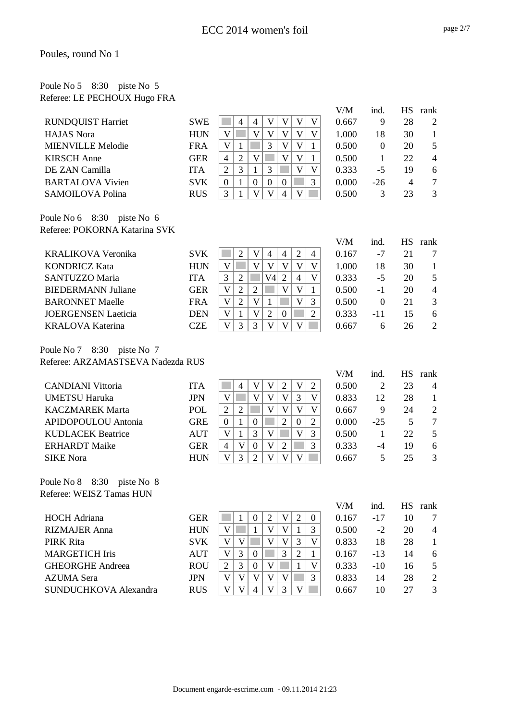#### Poule No 5 8:30 piste No 5 Referee: LE PECHOUX Hugo FRA

|                               |             |                |   |          |          |                |        |        | V/M    | ind.     | <b>HS</b>      | rank           |
|-------------------------------|-------------|----------------|---|----------|----------|----------------|--------|--------|--------|----------|----------------|----------------|
| <b>RUNDQUIST Harriet</b>      | <b>SWE</b>  |                | 4 | 4        |          |                | V      | V      | 0.667  | 9        | 28             | 2              |
| <b>HAJAS</b> Nora             | <b>HUN</b>  | V              |   | V        | V        | V              | V      | V      | 1.000  | 18       | 30             |                |
| <b>MIENVILLE Melodie</b>      | <b>FRA</b>  | V              | 1 |          | 3        | V              | V      |        | 0.500  | $\Omega$ | 20             | 5              |
| <b>KIRSCH</b> Anne            | <b>GER</b>  | $\overline{4}$ | 2 | V        |          | V              | V      |        | 0.500  |          | 22             | $\overline{4}$ |
| DE ZAN Camilla                | <b>ITA</b>  | $\overline{2}$ | 3 |          | 3        |                | V      | V      | 0.333  | $-5$     | 19             | 6              |
| <b>BARTALOVA Vivien</b>       | <b>SVK</b>  | $\theta$       | 1 | $\Omega$ | $\Omega$ | $\Omega$       |        | 3      | 0.000  | $-26$    | $\overline{4}$ | 7              |
| <b>SAMOILOVA Polina</b>       | <b>RUS</b>  | 3              |   | V        | V        | 4              | V      |        | 0.500  | 3        | 23             | 3              |
| Poule No 6 8:30<br>piste No 6 |             |                |   |          |          |                |        |        |        |          |                |                |
| Referee: POKORNA Katarina SVK |             |                |   |          |          |                |        |        |        |          |                |                |
|                               |             |                |   |          |          |                |        |        | V/M    | ind.     | <b>HS</b>      | rank           |
|                               | $- - - - -$ |                |   | — — I    |          | $\overline{a}$ | $\sim$ | $\sim$ | - - -- |          |                |                |

| <b>KRALIKOVA Veronika</b>  | <b>SVK</b> |   |                   | 4  | 4 |                | 4 | 0.167 | -7   |    |                |
|----------------------------|------------|---|-------------------|----|---|----------------|---|-------|------|----|----------------|
| <b>KONDRICZ Kata</b>       | <b>HUN</b> |   |                   |    |   |                |   | 1.000 | 18   | 30 |                |
| SANTUZZO Maria             | <b>ITA</b> |   |                   | V4 |   | $\overline{4}$ |   | 0.333 | -5   | 20 | 5              |
| <b>BIEDERMANN Juliane</b>  | GER        | v | ∍                 |    | V |                |   | 0.500 | $-1$ | 20 | $\overline{4}$ |
| <b>BARONNET Maelle</b>     | <b>FRA</b> |   |                   |    |   |                | 3 | 0.500 |      |    |                |
| <b>JOERGENSEN</b> Laeticia | <b>DEN</b> |   | V                 |    |   |                |   | 0.333 | -11  | 15 | 6              |
| <b>KRALOVA Katerina</b>    | CZE        |   | $\mathbf{\Omega}$ |    |   |                |   | 0 667 | h    | 26 |                |

Poule No 7 8:30 piste No 7 Referee: ARZAMASTSEVA Nadezda RUS

|                                                        |            |                |                |                  |                         |                |                |                         | V/M   | ind.  | HS | rank           |
|--------------------------------------------------------|------------|----------------|----------------|------------------|-------------------------|----------------|----------------|-------------------------|-------|-------|----|----------------|
| <b>CANDIANI</b> Vittoria                               | <b>ITA</b> |                | 4              | V                | V                       | 2              | V              | 2                       | 0.500 | 2     | 23 | $\overline{4}$ |
| <b>UMETSU Haruka</b>                                   | <b>JPN</b> | V              |                | V                | V                       | V              | 3              | V                       | 0.833 | 12    | 28 |                |
| <b>KACZMAREK Marta</b>                                 | POL        | $\overline{2}$ | $\overline{2}$ |                  | V                       | V              | V              | $\overline{\mathsf{V}}$ | 0.667 | 9     | 24 | $\overline{2}$ |
| APIDOPOULOU Antonia                                    | <b>GRE</b> | $\Omega$       | 1              | $\theta$         |                         | $\overline{2}$ | $\theta$       | 2                       | 0.000 | $-25$ | 5  | 7              |
| <b>KUDLACEK Beatrice</b>                               | AUT        | V              |                | 3                | V                       |                | V              | 3                       | 0.500 | 1     | 22 | 5              |
| <b>ERHARDT</b> Maike                                   | <b>GER</b> | 4              | V              | $\boldsymbol{0}$ | V                       | $\overline{2}$ |                | 3                       | 0.333 | -4    | 19 | 6              |
| <b>SIKE</b> Nora                                       | <b>HUN</b> | V              | 3              | 2                | V                       | V              | V              |                         | 0.667 | 5     | 25 | 3              |
| Poule No 8 8:30 piste No 8<br>Referee: WEISZ Tamas HUN |            |                |                |                  |                         |                |                |                         | V/M   | ind.  | HS | rank           |
| <b>HOCH</b> Adriana                                    | <b>GER</b> |                |                | $\theta$         | 2                       | V              | 2              | $\theta$                | 0.167 | $-17$ | 10 | 7              |
| <b>RIZMAJER Anna</b>                                   | <b>HUN</b> | V              |                |                  | V                       | V              | 1              | 3                       | 0.500 | $-2$  | 20 | $\overline{4}$ |
| PIRK Rita                                              | <b>SVK</b> | V              | V              |                  | V                       | V              | 3              | V                       | 0.833 | 18    | 28 | 1              |
| <b>MARGETICH Iris</b>                                  | <b>AUT</b> | V              | 3              | $\theta$         |                         | 3              | $\overline{2}$ | 1                       | 0.167 | $-13$ | 14 | 6              |
| <b>GHEORGHE Andreea</b>                                | <b>ROU</b> | 2              | 3              | $\overline{0}$   | V                       |                | 1              | V                       | 0.333 | $-10$ | 16 | 5              |
| <b>AZUMA</b> Sera                                      | <b>JPN</b> | V              | V              | V                | V                       | V              |                | 3                       | 0.833 | 14    | 28 | $\overline{2}$ |
| SUNDUCHKOVA Alexandra                                  | <b>RUS</b> | V              | V              | 4                | $\overline{\mathsf{V}}$ | 3              | V              |                         | 0.667 | 10    | 27 | 3              |

page 2/7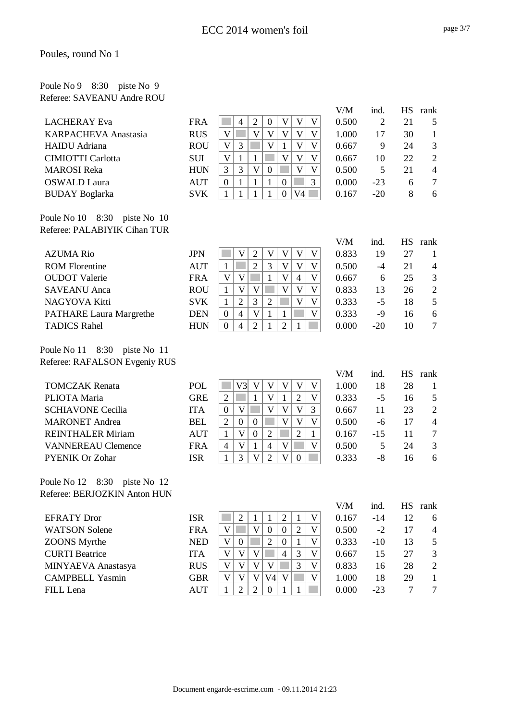## Poule No 9 8:30 piste No 9 Referee: SAVEANU Andre ROU

|                             |            |          |   |   |          |   |    |   | V/M   | ind.  | НS | rank           |
|-----------------------------|------------|----------|---|---|----------|---|----|---|-------|-------|----|----------------|
| <b>LACHERAY Eva</b>         | <b>FRA</b> |          | 4 |   | $\theta$ |   |    | V | 0.500 |       | 21 |                |
| <b>KARPACHEVA Anastasia</b> | <b>RUS</b> | V        |   |   | V        |   |    | V | 1.000 | 17    | 30 |                |
| <b>HAIDU</b> Adriana        | <b>ROU</b> | V        | 3 |   | V        |   | V  | V | 0.667 | 9     | 24 | 3              |
| <b>CIMIOTTI Carlotta</b>    | <b>SUI</b> | V        |   |   |          | V | v  | V | 0.667 | 10    | 22 | 2              |
| <b>MAROSI</b> Reka          | <b>HUN</b> | 3        | 3 | V | $\left($ |   | v  | V | 0.500 | 5     | 21 | $\overline{4}$ |
| <b>OSWALD</b> Laura         | <b>AUT</b> | $\Omega$ |   |   |          |   |    | 3 | 0.000 | $-23$ | 6  | 7              |
| <b>BUDAY</b> Boglarka       | <b>SVK</b> |          |   |   |          |   | V4 |   | 0.167 | $-20$ | 8  | 6              |
|                             |            |          |   |   |          |   |    |   |       |       |    |                |

Poule No 10 8:30 piste No 10 Referee: PALABIYIK Cihan TUR

|                                |            |          |   |   |   |   |                |   | V/M   | ind.  | <b>HS</b> | rank           |
|--------------------------------|------------|----------|---|---|---|---|----------------|---|-------|-------|-----------|----------------|
| <b>AZUMA Rio</b>               | JPN        |          |   |   |   |   |                |   | 0.833 | 19    | 27        |                |
| <b>ROM Florentine</b>          | <b>AUT</b> |          |   | 2 | 3 |   | V              |   | 0.500 | -4    | 21        | $\overline{4}$ |
| <b>OUDOT</b> Valerie           | <b>FRA</b> |          |   |   |   | V | $\overline{4}$ | V | 0.667 | 6     | 25        | 3              |
| <b>SAVEANU</b> Anca            | <b>ROU</b> |          | V |   |   | V | V              |   | 0.833 | 13    | 26        | 2              |
| NAGYOVA Kitti                  | <b>SVK</b> |          | っ | 3 | ∍ |   | V              | V | 0.333 | $-5$  | 18        | 5              |
| <b>PATHARE Laura Margrethe</b> | <b>DEN</b> | $\Omega$ | 4 | v |   |   |                |   | 0.333 | -9    | 16        | 6              |
| <b>TADICS Rahel</b>            | <b>HUN</b> | 0        | 4 | ി |   |   |                |   | 0.000 | $-20$ | 10        |                |
|                                |            |          |   |   |   |   |                |   |       |       |           |                |

Poule No 11 8:30 piste No 11 Referee: RAFALSON Evgeniy RUS

|                           |            |          |          |          |   |   |          |   | V/M   | ind.  | <b>HS</b> | rank                     |
|---------------------------|------------|----------|----------|----------|---|---|----------|---|-------|-------|-----------|--------------------------|
| <b>TOMCZAK Renata</b>     | <b>POL</b> |          | V3       | V        |   |   |          |   | 1.000 | 18    | 28        |                          |
| PLIOTA Maria              | <b>GRE</b> | 2        |          |          | V |   | 2        | V | 0.333 | $-5$  | 16        | $\overline{\phantom{1}}$ |
| <b>SCHIAVONE Cecilia</b>  | <b>ITA</b> | $\theta$ |          |          |   | V | V        | 3 | 0.667 | 11    | 23        | 2                        |
| <b>MARONET</b> Andrea     | <b>BEL</b> | 2        | $\theta$ | $\Omega$ |   | V | V        | V | 0.500 | -6    | 17        | $\overline{4}$           |
| <b>REINTHALER Miriam</b>  | <b>AUT</b> |          |          | $\Omega$ |   |   | 2        |   | 0.167 | $-15$ |           | 7                        |
| <b>VANNEREAU Clemence</b> | <b>FRA</b> | 4        |          |          | 4 |   |          | V | 0.500 | 5     | 24        | 3                        |
| <b>PYENIK Or Zohar</b>    | <b>ISR</b> |          | 3        | V        |   | V | $\Omega$ |   | 0.333 | -8    | 16        | 6                        |
| D 1 M 10 0.00 ' M 10      |            |          |          |          |   |   |          |   |       |       |           |                          |

Poule No 12 8:30 piste No 12 Referee: BERJOZKIN Anton HUN

| <b>ISR</b> |   |   |    |          |   | 0.167 | -14   | 12 |  |
|------------|---|---|----|----------|---|-------|-------|----|--|
| <b>FRA</b> | V |   |    | $\Omega$ |   | 0.500 | $-2$  | 17 |  |
| <b>NED</b> | V |   |    | $\Omega$ |   | 0.333 | $-10$ | 13 |  |
| <b>ITA</b> | V |   |    | 4        |   | 0.667 | 15    | 27 |  |
| <b>RUS</b> | V | V |    |          | 3 | 0.833 | 16    | 28 |  |
| <b>GBR</b> | V |   | V4 |          |   | 1.000 | 18    | 29 |  |
| <b>AUT</b> |   |   |    |          |   | 0.000 | $-23$ |    |  |
|            |   |   |    |          |   |       |       |    |  |

V/M ind. HS rank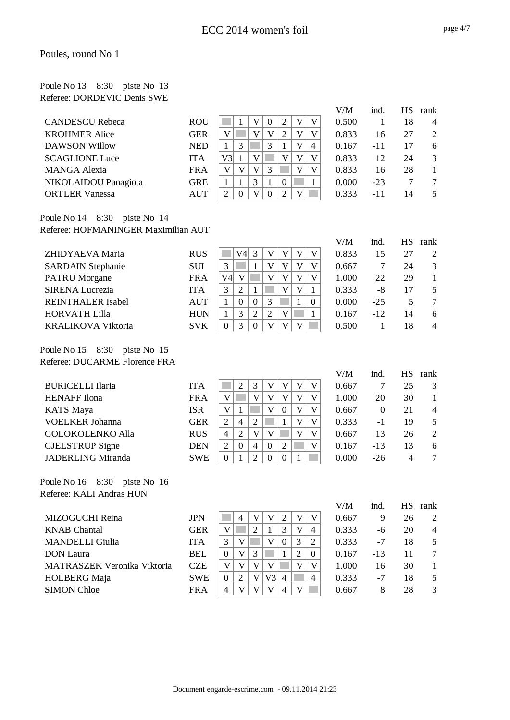| Poule No 13 8:30 piste No 13 |  |  |
|------------------------------|--|--|
| Referee: DORDEVIC Denis SWE  |  |  |

|                        |            |     |    |   |          |   |   | V/M   | ind.  | <b>HS</b> | rank           |
|------------------------|------------|-----|----|---|----------|---|---|-------|-------|-----------|----------------|
| <b>CANDESCU Rebeca</b> | <b>ROU</b> |     |    |   | റ        |   |   | 0.500 |       | 18        | $\overline{4}$ |
| <b>KROHMER Alice</b>   | <b>GER</b> |     |    |   | ∍        | V |   | 0.833 | 16    | 27        | 2              |
| DAWSON Willow          | <b>NED</b> |     |    | 3 |          | V | 4 | 0.167 | -11   | 17        | 6              |
| <b>SCAGLIONE Luce</b>  | <b>ITA</b> | V3l |    |   |          |   |   | 0.833 | 12    | 24        |                |
| MANGA Alexia           | <b>FRA</b> |     | W. | 3 |          | V |   | 0.833 | 16    | 28        |                |
| NIKOLAIDOU Panagiota   | <b>GRE</b> |     |    |   | $\theta$ |   |   | 0.000 | $-23$ |           |                |
| <b>ORTLER Vanessa</b>  | AUT        | ∍   |    |   |          |   |   | 0.333 | -11   | 14        |                |
|                        |            |     |    |   |          |   |   |       |       |           |                |

#### Poule No 14 8:30 piste No 14 Referee: HOFMANINGER Maximilian AUT

|                           |            |    |              |          |   |   |   |          | V/M   | ind.  | <b>HS</b> | rank           |
|---------------------------|------------|----|--------------|----------|---|---|---|----------|-------|-------|-----------|----------------|
| ZHIDYAEVA Maria           | <b>RUS</b> |    | V4l          | 3        | V | V | v | V        | 0.833 | 15    | 27        | 2              |
| <b>SARDAIN Stephanie</b>  | <b>SUI</b> | 3  |              |          | V | V | V | V        | 0.667 |       | 24        | 3              |
| <b>PATRU Morgane</b>      | <b>FRA</b> | V4 | $\mathbf{V}$ |          | V | V | V | V        | 1.000 | 22    | 29        |                |
| <b>SIRENA Lucrezia</b>    | <b>ITA</b> | 3  | 2            |          |   | V | V |          | 0.333 | -8    | 17        | 5              |
| <b>REINTHALER Isabel</b>  | <b>AUT</b> |    |              | $\Omega$ | 3 |   |   | $\theta$ | 0.000 | $-25$ |           | 7              |
| <b>HORVATH Lilla</b>      | <b>HUN</b> |    | 3            | 2        | ∍ | V |   |          | 0.167 | $-12$ | 14        | 6              |
| <b>KRALIKOVA Viktoria</b> | <b>SVK</b> | 0  | 3            | 0        | V |   | V |          | 0.500 |       | 18        | $\overline{4}$ |
|                           |            |    |              |          |   |   |   |          |       |       |           |                |

Poule No 15 8:30 piste No 15 Referee: DUCARME Florence FRA

Referee: KALI Andras HUN

|                                    |            |                |          |                |                |          |   |   | V/M   | ind.     | НS             | rank           |
|------------------------------------|------------|----------------|----------|----------------|----------------|----------|---|---|-------|----------|----------------|----------------|
| <b>BURICELLI Ilaria</b>            | <b>ITA</b> |                | ⌒        | 3              | V              | V        |   | V | 0.667 |          | 25             | 3              |
| <b>HENAFF</b> Ilona                | FRA        | V              |          | V              | V              | V        | V | V | 1.000 | 20       | 30             |                |
| <b>KATS</b> Maya                   | <b>ISR</b> | V              |          |                | V              | $\theta$ | V | V | 0.667 | $\Omega$ | 21             | $\overline{4}$ |
| <b>VOELKER Johanna</b>             | <b>GER</b> | 2              | 4        | 2              |                |          | V | V | 0.333 | $-1$     | 19             | 5              |
| <b>GOLOKOLENKO Alla</b>            | <b>RUS</b> | $\overline{4}$ | 2        | V              | V              |          | V | V | 0.667 | 13       | 26             | 2              |
| <b>GJELSTRUP</b> Signe             | <b>DEN</b> | 2              | $\theta$ | $\overline{4}$ | $\overline{0}$ | 2        |   |   | 0.167 | $-13$    | 13             | 6              |
| <b>JADERLING Miranda</b>           | <b>SWE</b> | $\Omega$       |          | $\overline{2}$ | $\Omega$       |          |   |   | 0.000 | $-26$    | $\overline{4}$ | 7              |
| 8:30<br>Poule No 16<br>piste No 16 |            |                |          |                |                |          |   |   |       |          |                |                |

|                             |            |                |              |   |    |                |   |                | V/M   | ind. | <b>HS</b> | rank                     |
|-----------------------------|------------|----------------|--------------|---|----|----------------|---|----------------|-------|------|-----------|--------------------------|
| MIZOGUCHI Reina             | <b>JPN</b> |                |              |   |    |                | V |                | 0.667 | 9    | 26        | 2                        |
| <b>KNAB</b> Chantal         | <b>GER</b> |                |              | ↑ |    | 3              | V | $\overline{4}$ | 0.333 | -6   | 20        | $\overline{4}$           |
| <b>MANDELLI</b> Giulia      | <b>ITA</b> | 3              | V            |   |    |                | 3 | ◠              | 0.333 | $-7$ | 18        | .5                       |
| <b>DON</b> Laura            | <b>BEL</b> | $\theta$       | $\mathbf{V}$ | 3 |    |                | 2 | $\Omega$       | 0.167 | -13  | 11        | 7                        |
| MATRASZEK Veronika Viktoria | <b>CZE</b> |                |              |   |    |                | V | V              | 1.000 | 16   | 30        |                          |
| <b>HOLBERG</b> Maja         | <b>SWE</b> | $\Omega$       | ∍            |   | V3 | $\overline{4}$ |   | 4              | 0.333 | $-7$ | 18        | $\overline{\phantom{1}}$ |
| <b>SIMON Chloe</b>          | <b>FRA</b> | $\overline{4}$ |              |   | V  |                | V |                | 0.667 | 8    | 28        | $\mathcal{F}$            |
|                             |            |                |              |   |    |                |   |                |       |      |           |                          |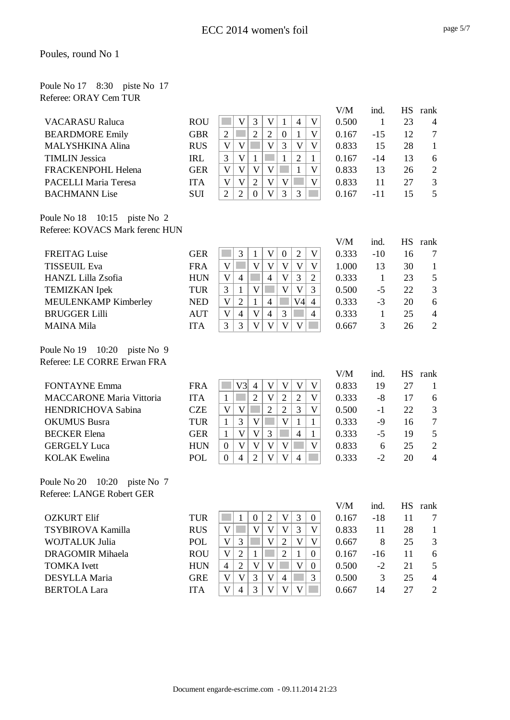| Poule No 17 8:30 piste No 17 |  |  |
|------------------------------|--|--|
| Referee: ORAY Cem TUR        |  |  |

|                         |            |                |   |   |   |   |   | V/M   | ind.  | НS | rank           |
|-------------------------|------------|----------------|---|---|---|---|---|-------|-------|----|----------------|
| <b>VACARASU Raluca</b>  | <b>ROU</b> |                |   |   |   | 4 | V | 0.500 |       | 23 | $\overline{4}$ |
| <b>BEARDMORE Emily</b>  | <b>GBR</b> | $\overline{2}$ |   | ာ |   |   |   | 0.167 | $-15$ | 12 | 7              |
| <b>MALYSHKINA Alina</b> | <b>RUS</b> | V              |   | V |   |   | V | 0.833 | 15    | 28 |                |
| <b>TIMLIN Jessica</b>   | <b>IRL</b> | 3              |   |   |   | 2 |   | 0.167 | $-14$ | 13 | 6              |
| FRACKENPOHL Helena      | <b>GER</b> | V              |   |   |   |   | V | 0.833 | 13    | 26 | 2              |
| PACELLI Maria Teresa    | <b>ITA</b> | V              |   |   |   |   | V | 0.833 | 11    | 27 | $\mathcal{R}$  |
| <b>BACHMANN Lise</b>    | SUI        | 2              | ∍ | V | 3 | 3 |   | 0.167 | -11   | 15 | $\overline{5}$ |
|                         |            |                |   |   |   |   |   |       |       |    |                |

Poule No 18 10:15 piste No 2 Referee: KOVACS Mark ferenc HUN

|                           |            |   |   |   |                |               |     |                | V/M   | ind.  | <b>HS</b> | rank           |
|---------------------------|------------|---|---|---|----------------|---------------|-----|----------------|-------|-------|-----------|----------------|
| <b>FREITAG Luise</b>      | <b>GER</b> |   |   |   |                | $\theta$      | 2   | V              | 0.333 | $-10$ | 16        |                |
| <b>TISSEUIL Eva</b>       | <b>FRA</b> |   |   | V |                |               |     |                | 1.000 | 13    | 30        |                |
| <b>HANZL Lilla Zsofia</b> | <b>HUN</b> | V | 4 |   | $\overline{4}$ | V             | 3   | ↑              | 0.333 |       | 23        | 5              |
| <b>TEMIZKAN</b> Ipek      | <b>TUR</b> | 3 |   |   |                | ₩             | v   | 3              | 0.500 | -5    | 22        | 3              |
| MEULENKAMP Kimberley      | <b>NED</b> | V | ↑ |   |                |               | V4l | $\overline{4}$ | 0.333 | $-3$  | 20        | 6              |
| <b>BRUGGER Lilli</b>      | <b>AUT</b> | V | 4 | V | 4              | 3             |     | 4              | 0.333 |       | 25        | $\overline{4}$ |
| <b>MAINA Mila</b>         | <b>ITA</b> | 2 |   |   |                | $\mathcal{I}$ |     |                | 0.667 | 3     | 26        | $\overline{2}$ |
|                           |            |   |   |   |                |               |     |                |       |       |           |                |

Poule No 19 10:20 piste No 9 Referee: LE CORRE Erwan FRA

|                                 |            |          |     |                |   |   |   | V/M   | ind. | НS | rank           |
|---------------------------------|------------|----------|-----|----------------|---|---|---|-------|------|----|----------------|
| <b>FONTAYNE Emma</b>            | <b>FRA</b> |          | V3l | 4              |   |   |   | 0.833 | 19   | 27 |                |
| <b>MACCARONE Maria Vittoria</b> | <b>ITA</b> |          |     | 2              | V | ി | 2 | 0.333 | -8   | 17 | 6              |
| <b>HENDRICHOVA Sabina</b>       | <b>CZE</b> | V        | V   |                | 2 | 2 | 3 | 0.500 | -1   | 22 | 3              |
| <b>OKUMUS Busra</b>             | <b>TUR</b> |          | 3   | V              |   | V |   | 0.333 | -9   | 16 | $\overline{7}$ |
| <b>BECKER</b> Elena             | <b>GER</b> |          | V   | V              |   |   | 4 | 0.333 | -5   | 19 | .5             |
| <b>GERGELY</b> Luca             | <b>HUN</b> | $\theta$ | V   | V              |   |   |   | 0.833 | 6    | 25 | 2              |
| <b>KOLAK</b> Ewelina            | POL        | $\theta$ | 4   | $\mathfrak{2}$ |   | V | 4 | 0.333 | $-2$ | 20 | $\overline{4}$ |
|                                 |            |          |     |                |   |   |   |       |      |    |                |

Poule No 20 10:20 piste No 7 Referee: LANGE Robert GER

| TUR        |                |   |  |   |   | 0.167 | -18   |    |                |
|------------|----------------|---|--|---|---|-------|-------|----|----------------|
| <b>RUS</b> |                |   |  |   | 3 | 0.833 | 11    | 28 |                |
| <b>POL</b> |                | 2 |  | ⌒ |   | 0.667 | 8     | 25 |                |
| <b>ROU</b> |                |   |  | ◠ |   | 0.167 | $-16$ |    | 6              |
| <b>HUN</b> | $\overline{4}$ |   |  |   |   | 0.500 | $-2$  | 21 |                |
| <b>GRE</b> |                |   |  | 4 |   | 0.500 | 3     | 25 | $\overline{4}$ |
| <b>ITA</b> |                | 4 |  |   |   | 0.667 | 14    | 27 |                |
|            |                |   |  |   |   |       |       |    |                |

V/M ind. HS rank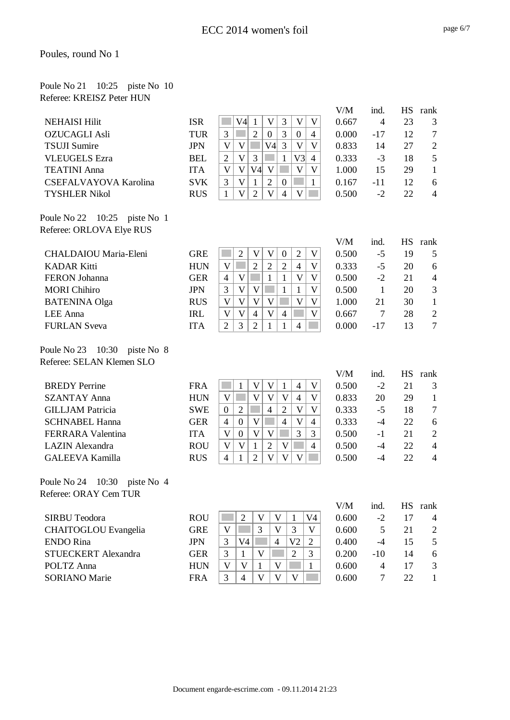#### Poule No 21 10:25 piste No 10 Referee: KREISZ Peter HUN

|                                    |            |                                                                                                                 | V/M   | ind.             |           | HS rank        |
|------------------------------------|------------|-----------------------------------------------------------------------------------------------------------------|-------|------------------|-----------|----------------|
| <b>NEHAISI Hilit</b>               | <b>ISR</b> | $\overline{\mathsf{V}}$<br>3<br>V<br>$\mathbf V$<br>V4<br>$\mathbf{1}$                                          | 0.667 | $\overline{4}$   | 23        | 3              |
| <b>OZUCAGLI Asli</b>               | <b>TUR</b> | 3<br>$\overline{2}$<br>3<br>$\overline{4}$<br>$\mathbf{0}$<br>$\boldsymbol{0}$                                  | 0.000 | $-17$            | 12        | $\overline{7}$ |
| <b>TSUJI Sumire</b>                | <b>JPN</b> | V<br>$\overline{3}$<br>$\mathbf V$<br>V4<br>V<br>V                                                              | 0.833 | 14               | 27        | $\mathfrak{2}$ |
| <b>VLEUGELS Ezra</b>               | <b>BEL</b> | $\mathbf V$<br>3<br>V3<br>$\overline{2}$<br>$\mathbf{1}$<br>$\overline{4}$                                      | 0.333 | $-3$             | 18        | 5              |
| <b>TEATINI Anna</b>                | <b>ITA</b> | V<br>$\mathbf V$<br>V4<br>$\mathbf{V}$<br>V<br>$\overline{\mathsf{V}}$                                          | 1.000 | 15               | 29        | $\mathbf{1}$   |
| CSEFALVAYOVA Karolina              | <b>SVK</b> | $\mathbf{V}$<br>$\overline{2}$<br>3<br>$\mathbf{1}$<br>$\boldsymbol{0}$<br>$\mathbf{1}$                         | 0.167 | -11              | 12        | 6              |
| <b>TYSHLER Nikol</b>               | <b>RUS</b> | $\overline{2}$<br>$\overline{\mathsf{V}}$<br>V<br>V<br>$\overline{4}$<br>$\mathbf{1}$                           | 0.500 | $-2$             | 22        | $\overline{4}$ |
| Poule No 22 10:25<br>piste No 1    |            |                                                                                                                 |       |                  |           |                |
| Referee: ORLOVA Elye RUS           |            |                                                                                                                 |       |                  |           |                |
|                                    |            |                                                                                                                 | V/M   | ind.             | <b>HS</b> | rank           |
| CHALDAIOU Maria-Eleni              | <b>GRE</b> | $\overline{2}$<br>$\overline{2}$<br>$\mathbf{V}$<br>$\mathbf V$<br>$\mathbf V$<br>$\boldsymbol{0}$              | 0.500 | $-5$             | 19        | 5              |
| <b>KADAR Kitti</b>                 | <b>HUN</b> | $\mathbf{V}$<br>$\overline{2}$<br>$\overline{2}$<br>$\overline{\mathsf{V}}$<br>$\overline{2}$<br>$\overline{4}$ | 0.333 | $-5$             | 20        | 6              |
| <b>FERON Johanna</b>               | <b>GER</b> | $\mathbf V$<br>$\mathbf V$<br>$\mathbf{1}$<br>$\overline{\mathsf{V}}$<br>$\overline{4}$<br>1                    | 0.500 | $-2$             | 21        | $\overline{4}$ |
| <b>MORI</b> Chihiro                | <b>JPN</b> | $\overline{3}$<br>$\mathbf{V}$<br>V<br>$\mathbf{1}$<br>$\mathbf{V}$<br>$\mathbf{1}$                             | 0.500 | $\mathbf{1}$     | 20        | 3              |
| <b>BATENINA Olga</b>               | <b>RUS</b> | $\mathbf V$<br>$\mathbf V$<br>V<br>$\mathbf V$<br>V<br>$\overline{\mathsf{V}}$                                  | 1.000 | 21               | 30        | $\mathbf{1}$   |
| LEE Anna                           | <b>IRL</b> | $\mathbf V$<br>V<br>$\overline{4}$<br>$\mathbf V$<br>V<br>$\overline{4}$                                        | 0.667 | 7                | 28        | $\mathfrak{2}$ |
| <b>FURLAN Sveva</b>                | <b>ITA</b> | $\overline{2}$<br>3<br>$\overline{2}$<br>$\overline{4}$<br>1<br>1                                               | 0.000 | $-17$            | 13        | $\overline{7}$ |
| Poule No 23 10:30<br>piste No 8    |            |                                                                                                                 |       |                  |           |                |
| Referee: SELAN Klemen SLO          |            |                                                                                                                 |       |                  |           |                |
|                                    |            |                                                                                                                 | V/M   | ind.             |           | HS rank        |
| <b>BREDY</b> Perrine               | <b>FRA</b> | V<br>V<br>$\mathbf V$<br>1<br>$\mathbf{1}$<br>$\overline{4}$                                                    | 0.500 | $-2$             | 21        | 3              |
| <b>SZANTAY Anna</b>                | <b>HUN</b> | V<br>$\mathbf{V}$<br>$\mathbf V$<br>V<br>V<br>$\overline{4}$                                                    | 0.833 | 20               | 29        | $\mathbf{1}$   |
| <b>GILLJAM Patricia</b>            | <b>SWE</b> | $\overline{4}$<br>$\overline{2}$<br>$\mathbf V$<br>$\overline{2}$<br>V<br>$\mathbf{0}$                          | 0.333 | $-5$             | 18        | $\overline{7}$ |
| <b>SCHNABEL Hanna</b>              | <b>GER</b> | $\overline{4}$<br>$\mathbf V$<br>V<br>$\boldsymbol{0}$<br>$\overline{4}$<br>$\overline{4}$                      | 0.333 | $-4$             | 22        | 6              |
| <b>FERRARA Valentina</b>           | <b>ITA</b> | $\mathbf V$<br>$\mathbf{V}$<br>$\mathbf V$<br>3<br>$\boldsymbol{0}$<br>3                                        | 0.500 | $-1$             | 21        | $\sqrt{2}$     |
| <b>LAZIN</b> Alexandra             | <b>ROU</b> | $\overline{2}$<br>V<br>$\mathbf V$<br>V<br>$\overline{4}$<br>$\mathbf{1}$                                       | 0.500 | $-4$             | 22        | $\overline{4}$ |
| <b>GALEEVA Kamilla</b>             | <b>RUS</b> | $\overline{2}$<br>V<br>V<br>$\overline{4}$<br>1<br>V                                                            | 0.500 | $-4$             | 22        | $\overline{4}$ |
| 10:30<br>Poule No 24<br>piste No 4 |            |                                                                                                                 |       |                  |           |                |
| Referee: ORAY Cem TUR              |            |                                                                                                                 |       |                  |           |                |
|                                    |            |                                                                                                                 | V/M   | ind.             |           | HS rank        |
| <b>SIRBU Teodora</b>               | <b>ROU</b> | $\mathbf V$<br>$\mathbf V$<br>V <sub>4</sub><br>$\sqrt{2}$<br>$\mathbf{1}$                                      | 0.600 | $-2$             | 17        | $\overline{4}$ |
| <b>CHAITOGLOU</b> Evangelia        | <b>GRE</b> | V<br>3<br>3<br>V<br>V                                                                                           | 0.600 | 5                | 21        | $\overline{c}$ |
| <b>ENDO</b> Rina                   | <b>JPN</b> | 3<br>V <sub>4</sub><br>$\overline{4}$<br>V <sub>2</sub><br>$\overline{2}$                                       | 0.400 | $-4$             | 15        | $\mathfrak s$  |
| STUECKERT Alexandra                | <b>GER</b> | $\overline{2}$<br>3<br>$\mathbf V$<br>3<br>1                                                                    | 0.200 | $-10$            | 14        | 6              |
| POLTZ Anna                         | <b>HUN</b> | $\mathbf V$<br>V<br>V<br>1<br>$\mathbf{1}$                                                                      | 0.600 | $\overline{4}$   | 17        | 3              |
| <b>SORIANO</b> Marie               | <b>FRA</b> | 3<br>$\mathbf{V}$<br>$\mathbf V$<br>$\overline{4}$<br>V                                                         | 0.600 | $\boldsymbol{7}$ | 22        | $\mathbf{1}$   |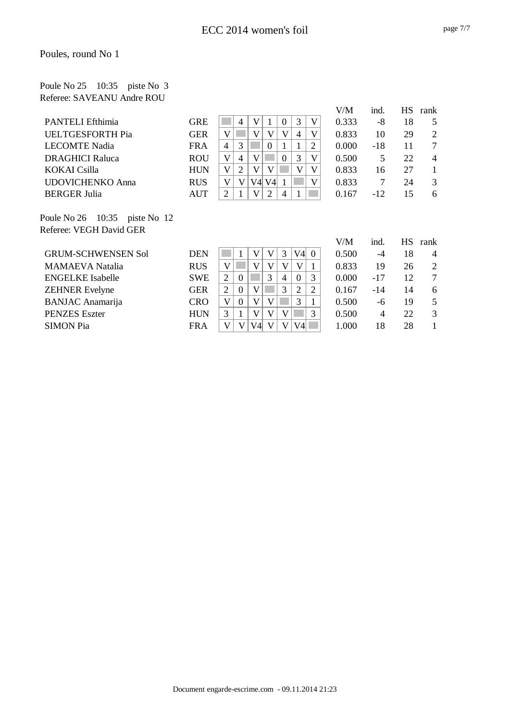#### Poule No 25 10:35 piste No 3 Referee: SAVEANU Andre ROU

|                                                                        |            |                |   |     |                |                |   |   | V/M   | ind.  | <b>HS</b> | rank           |
|------------------------------------------------------------------------|------------|----------------|---|-----|----------------|----------------|---|---|-------|-------|-----------|----------------|
| <b>PANTELI Efthimia</b>                                                | <b>GRE</b> |                | 4 |     |                |                | 3 | V | 0.333 | -8    | 18        |                |
| <b>UELTGESFORTH Pia</b>                                                | <b>GER</b> |                |   |     |                |                | 4 | V | 0.833 | 10    | 29        | 2              |
| <b>LECOMTE Nadia</b>                                                   | <b>FRA</b> | $\overline{4}$ | 3 |     | $\left($       |                |   |   | 0.000 | $-18$ | 11        |                |
| <b>DRAGHICI Raluca</b>                                                 | <b>ROU</b> |                | 4 |     |                | $\Omega$       | 3 | V | 0.500 | 5.    | 22        | $\overline{4}$ |
| <b>KOKAI</b> Csilla                                                    | <b>HUN</b> | V              | ⌒ |     |                |                | V | V | 0.833 | 16    | 27        |                |
| <b>UDOVICHENKO Anna</b>                                                | <b>RUS</b> |                |   | V4l | V <sub>4</sub> |                |   | V | 0.833 | 7     | 24        | $\mathcal{R}$  |
| <b>BERGER Julia</b>                                                    | <b>AUT</b> | $\overline{2}$ |   |     | ↑              | $\overline{4}$ |   |   | 0.167 | $-12$ | 15        | 6              |
|                                                                        |            |                |   |     |                |                |   |   |       |       |           |                |
| $D_{\text{out}} 1. N_{\text{e}} 26 - 10.25$ $\ldots$ $N_{\text{e}} 12$ |            |                |   |     |                |                |   |   |       |       |           |                |

Poule No 26 10:35 piste No 12 Referee: VEGH David GER

|                           |            |   |          |    |   |    |          |          | V/M   | ind.  | НS | rank           |
|---------------------------|------------|---|----------|----|---|----|----------|----------|-------|-------|----|----------------|
| <b>GRUM-SCHWENSEN Sol</b> | <b>DEN</b> |   |          | V  |   | 3. | V4       | $\Omega$ | 0.500 | -4    | 18 | 4              |
| <b>MAMAEVA Natalia</b>    | <b>RUS</b> | V |          |    |   |    |          |          | 0.833 | 19    | 26 | $\overline{2}$ |
| <b>ENGELKE</b> Isabelle   | <b>SWE</b> | 2 | $\theta$ |    | 3 | 4  | $\theta$ | 3        | 0.000 | $-17$ | 12 | 7              |
| <b>ZEHNER Evelyne</b>     | <b>GER</b> |   | $\Omega$ | V  |   | 3  | 2        | 2        | 0.167 | $-14$ | 14 | 6              |
| <b>BANJAC</b> Anamarija   | <b>CRO</b> | V | $\Omega$ |    |   |    | 3        |          | 0.500 | -6    | 19 |                |
| <b>PENZES</b> Eszter      | <b>HUN</b> | 3 |          |    | V | V  |          | 3        | 0.500 | 4     | 22 | 3              |
| <b>SIMON Pia</b>          | <b>FRA</b> | V | V        | V4 |   | V  | V4       |          | 1.000 | 18    | 28 |                |
|                           |            |   |          |    |   |    |          |          |       |       |    |                |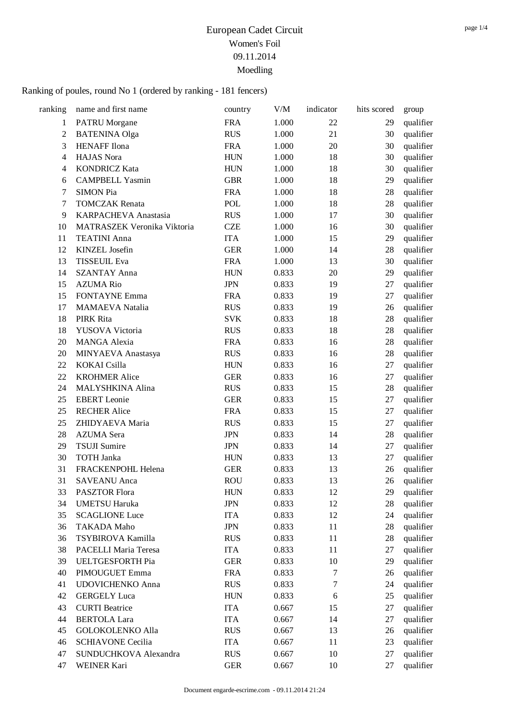| ranking        | name and first name         | country    | V/M   | indicator        | hits scored | group     |
|----------------|-----------------------------|------------|-------|------------------|-------------|-----------|
| 1              | <b>PATRU</b> Morgane        | <b>FRA</b> | 1.000 | 22               | 29          | qualifier |
| $\sqrt{2}$     | <b>BATENINA Olga</b>        | <b>RUS</b> | 1.000 | 21               | 30          | qualifier |
| 3              | <b>HENAFF</b> Ilona         | <b>FRA</b> | 1.000 | 20               | 30          | qualifier |
| $\overline{4}$ | <b>HAJAS</b> Nora           | <b>HUN</b> | 1.000 | 18               | 30          | qualifier |
| $\overline{4}$ | <b>KONDRICZ Kata</b>        | <b>HUN</b> | 1.000 | 18               | 30          | qualifier |
| 6              | <b>CAMPBELL Yasmin</b>      | <b>GBR</b> | 1.000 | 18               | 29          | qualifier |
| 7              | <b>SIMON Pia</b>            | <b>FRA</b> | 1.000 | 18               | 28          | qualifier |
| 7              | <b>TOMCZAK Renata</b>       | POL        | 1.000 | 18               | 28          | qualifier |
| 9              | KARPACHEVA Anastasia        | <b>RUS</b> | 1.000 | 17               | 30          | qualifier |
| 10             | MATRASZEK Veronika Viktoria | <b>CZE</b> | 1.000 | 16               | 30          | qualifier |
| 11             | <b>TEATINI</b> Anna         | <b>ITA</b> | 1.000 | 15               | 29          | qualifier |
| 12             | KINZEL Josefin              | <b>GER</b> | 1.000 | 14               | 28          | qualifier |
| 13             | <b>TISSEUIL Eva</b>         | <b>FRA</b> | 1.000 | 13               | 30          | qualifier |
| 14             | <b>SZANTAY Anna</b>         | <b>HUN</b> | 0.833 | 20               | 29          | qualifier |
| 15             | <b>AZUMA Rio</b>            | <b>JPN</b> | 0.833 | 19               | 27          | qualifier |
| 15             | <b>FONTAYNE Emma</b>        | <b>FRA</b> | 0.833 | 19               | 27          | qualifier |
| 17             | <b>MAMAEVA</b> Natalia      | <b>RUS</b> | 0.833 | 19               | 26          | qualifier |
| 18             | PIRK Rita                   | <b>SVK</b> | 0.833 | 18               | 28          | qualifier |
| 18             | YUSOVA Victoria             | <b>RUS</b> | 0.833 | 18               | 28          | qualifier |
| 20             | <b>MANGA Alexia</b>         | <b>FRA</b> | 0.833 | 16               | 28          | qualifier |
| 20             | MINYAEVA Anastasya          | <b>RUS</b> | 0.833 | 16               | 28          | qualifier |
| 22             | KOKAI Csilla                | <b>HUN</b> | 0.833 | 16               | 27          | qualifier |
| 22             | <b>KROHMER Alice</b>        | <b>GER</b> | 0.833 | 16               | 27          | qualifier |
| 24             | MALYSHKINA Alina            | <b>RUS</b> | 0.833 | 15               | 28          | qualifier |
| 25             | <b>EBERT</b> Leonie         | <b>GER</b> | 0.833 | 15               | 27          | qualifier |
| 25             | <b>RECHER Alice</b>         | <b>FRA</b> | 0.833 | 15               | 27          | qualifier |
| 25             | ZHIDYAEVA Maria             | <b>RUS</b> | 0.833 | 15               | 27          | qualifier |
| 28             | <b>AZUMA</b> Sera           | <b>JPN</b> | 0.833 | 14               | 28          | qualifier |
| 29             | <b>TSUJI</b> Sumire         | <b>JPN</b> | 0.833 | 14               | 27          | qualifier |
| 30             | <b>TOTH Janka</b>           | <b>HUN</b> | 0.833 | 13               | 27          | qualifier |
| 31             | FRACKENPOHL Helena          | <b>GER</b> | 0.833 | 13               | 26          | qualifier |
| 31             | <b>SAVEANU</b> Anca         | <b>ROU</b> | 0.833 | 13               | 26          | qualifier |
| 33             | PASZTOR Flora               | <b>HUN</b> | 0.833 | 12               | 29          | qualifier |
| 34             | <b>UMETSU Haruka</b>        | <b>JPN</b> | 0.833 | 12               | 28          | qualifier |
| 35             | <b>SCAGLIONE Luce</b>       | <b>ITA</b> | 0.833 | 12               | 24          | qualifier |
| 36             | <b>TAKADA Maho</b>          | <b>JPN</b> | 0.833 | 11               | 28          | qualifier |
| 36             | TSYBIROVA Kamilla           | <b>RUS</b> | 0.833 | 11               | 28          | qualifier |
| 38             | PACELLI Maria Teresa        | <b>ITA</b> | 0.833 | 11               | 27          | qualifier |
| 39             | <b>UELTGESFORTH Pia</b>     | <b>GER</b> | 0.833 | 10               | 29          | qualifier |
| 40             | PIMOUGUET Emma              | <b>FRA</b> | 0.833 | $\boldsymbol{7}$ | 26          | qualifier |
| 41             | <b>UDOVICHENKO Anna</b>     | <b>RUS</b> | 0.833 | $\boldsymbol{7}$ | 24          | qualifier |
| 42             | <b>GERGELY</b> Luca         | <b>HUN</b> | 0.833 | 6                | 25          | qualifier |
| 43             | <b>CURTI</b> Beatrice       | <b>ITA</b> | 0.667 | 15               | 27          | qualifier |
| 44             | <b>BERTOLA Lara</b>         | <b>ITA</b> | 0.667 | 14               | 27          | qualifier |
| 45             | <b>GOLOKOLENKO Alla</b>     | <b>RUS</b> | 0.667 | 13               | 26          | qualifier |
| 46             | <b>SCHIAVONE Cecilia</b>    | <b>ITA</b> | 0.667 | 11               | 23          | qualifier |
| 47             | SUNDUCHKOVA Alexandra       | <b>RUS</b> | 0.667 | 10               | 27          | qualifier |
| 47             | WEINER Kari                 | <b>GER</b> | 0.667 | 10               | 27          | qualifier |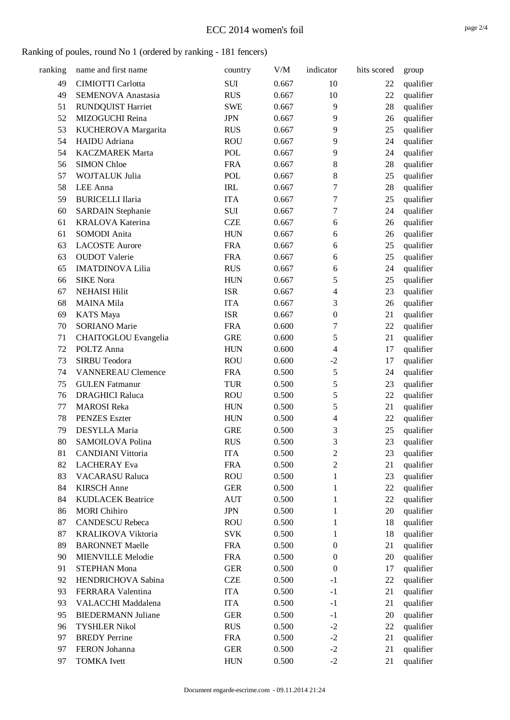#### Ranking of poules, round No 1 (ordered by ranking - 181 fencers)

| ranking | name and first name         | country     | V/M   | indicator        | hits scored | group     |
|---------|-----------------------------|-------------|-------|------------------|-------------|-----------|
| 49      | CIMIOTTI Carlotta           | SUI         | 0.667 | 10               | 22          | qualifier |
| 49      | SEMENOVA Anastasia          | <b>RUS</b>  | 0.667 | 10               | 22          | qualifier |
| 51      | <b>RUNDQUIST Harriet</b>    | <b>SWE</b>  | 0.667 | 9                | 28          | qualifier |
| 52      | MIZOGUCHI Reina             | <b>JPN</b>  | 0.667 | 9                | 26          | qualifier |
| 53      | KUCHEROVA Margarita         | <b>RUS</b>  | 0.667 | 9                | 25          | qualifier |
| 54      | HAIDU Adriana               | <b>ROU</b>  | 0.667 | 9                | 24          | qualifier |
| 54      | <b>KACZMAREK Marta</b>      | POL         | 0.667 | 9                | 24          | qualifier |
| 56      | <b>SIMON Chloe</b>          | <b>FRA</b>  | 0.667 | $8\,$            | 28          | qualifier |
| 57      | WOJTALUK Julia              | <b>POL</b>  | 0.667 | $8\,$            | 25          | qualifier |
| 58      | LEE Anna                    | <b>IRL</b>  | 0.667 | 7                | 28          | qualifier |
| 59      | <b>BURICELLI Ilaria</b>     | <b>ITA</b>  | 0.667 | 7                | 25          | qualifier |
| 60      | <b>SARDAIN Stephanie</b>    | <b>SUI</b>  | 0.667 | 7                | 24          | qualifier |
| 61      | KRALOVA Katerina            | <b>CZE</b>  | 0.667 | 6                | 26          | qualifier |
| 61      | SOMODI Anita                | <b>HUN</b>  | 0.667 | 6                | 26          | qualifier |
| 63      | <b>LACOSTE Aurore</b>       | <b>FRA</b>  | 0.667 | 6                | 25          | qualifier |
| 63      | <b>OUDOT</b> Valerie        | <b>FRA</b>  | 0.667 | $\sqrt{6}$       | 25          | qualifier |
| 65      | <b>IMATDINOVA Lilia</b>     | <b>RUS</b>  | 0.667 | 6                | 24          | qualifier |
| 66      | <b>SIKE Nora</b>            | <b>HUN</b>  | 0.667 | 5                | 25          | qualifier |
| 67      | <b>NEHAISI Hilit</b>        | <b>ISR</b>  | 0.667 | $\overline{4}$   | 23          | qualifier |
| 68      | <b>MAINA Mila</b>           | <b>ITA</b>  | 0.667 | 3                | 26          | qualifier |
| 69      | <b>KATS</b> Maya            | <b>ISR</b>  | 0.667 | $\boldsymbol{0}$ | 21          | qualifier |
| 70      | SORIANO Marie               | <b>FRA</b>  | 0.600 | $\boldsymbol{7}$ | 22          | qualifier |
| 71      | <b>CHAITOGLOU</b> Evangelia | <b>GRE</b>  | 0.600 | 5                | 21          | qualifier |
| 72      | POLTZ Anna                  | <b>HUN</b>  | 0.600 | $\overline{4}$   | 17          | qualifier |
| 73      | SIRBU Teodora               | <b>ROU</b>  | 0.600 | $-2$             | 17          | qualifier |
| 74      | <b>VANNEREAU Clemence</b>   | <b>FRA</b>  | 0.500 | 5                | 24          | qualifier |
| 75      | <b>GULEN</b> Fatmanur       | <b>TUR</b>  | 0.500 | 5                | 23          | qualifier |
| 76      | <b>DRAGHICI Raluca</b>      | <b>ROU</b>  | 0.500 | 5                | 22          | qualifier |
| 77      | <b>MAROSI</b> Reka          | <b>HUN</b>  | 0.500 | 5                | 21          | qualifier |
| 78      | <b>PENZES</b> Eszter        | ${\rm HUN}$ | 0.500 | $\overline{4}$   | 22          | qualifier |
| 79      | DESYLLA Maria               | <b>GRE</b>  | 0.500 | 3                | 25          | qualifier |
| 80      | SAMOILOVA Polina            | <b>RUS</b>  | 0.500 | 3                | 23          | qualifier |
| 81      | <b>CANDIANI</b> Vittoria    | <b>ITA</b>  | 0.500 | $\sqrt{2}$       | 23          | qualifier |
| 82      | <b>LACHERAY</b> Eva         | <b>FRA</b>  | 0.500 | $\overline{c}$   | 21          | qualifier |
| 83      | <b>VACARASU Raluca</b>      | <b>ROU</b>  | 0.500 | $\mathbf{1}$     | 23          | qualifier |
| 84      | <b>KIRSCH</b> Anne          | <b>GER</b>  | 0.500 | $\mathbf{1}$     | 22          | qualifier |
| 84      | <b>KUDLACEK Beatrice</b>    | <b>AUT</b>  | 0.500 | $\mathbf{1}$     | 22          | qualifier |
| 86      | <b>MORI</b> Chihiro         | <b>JPN</b>  | 0.500 | $\mathbf{1}$     | $20\,$      | qualifier |
| 87      | <b>CANDESCU Rebeca</b>      | <b>ROU</b>  | 0.500 | 1                | 18          | qualifier |
| 87      | KRALIKOVA Viktoria          | <b>SVK</b>  | 0.500 | 1                | 18          | qualifier |
| 89      | <b>BARONNET Maelle</b>      | <b>FRA</b>  | 0.500 | $\boldsymbol{0}$ | 21          | qualifier |
| 90      | <b>MIENVILLE Melodie</b>    | <b>FRA</b>  | 0.500 | $\boldsymbol{0}$ | 20          | qualifier |
| 91      | STEPHAN Mona                | <b>GER</b>  | 0.500 | $\boldsymbol{0}$ | 17          | qualifier |
| 92      | HENDRICHOVA Sabina          | <b>CZE</b>  | 0.500 | $-1$             | 22          | qualifier |
| 93      | FERRARA Valentina           | <b>ITA</b>  | 0.500 | $-1$             | 21          | qualifier |
| 93      | VALACCHI Maddalena          | <b>ITA</b>  | 0.500 | $-1$             | 21          | qualifier |
| 95      | <b>BIEDERMANN Juliane</b>   | <b>GER</b>  | 0.500 | $-1$             | 20          | qualifier |
| 96      | <b>TYSHLER Nikol</b>        | <b>RUS</b>  | 0.500 | $-2$             | 22          | qualifier |
| 97      | <b>BREDY</b> Perrine        | <b>FRA</b>  | 0.500 | $-2$             | 21          | qualifier |
| 97      | FERON Johanna               | <b>GER</b>  | 0.500 | $-2$             | 21          | qualifier |
| 97      | <b>TOMKA</b> Ivett          | <b>HUN</b>  | 0.500 | $-2$             | 21          | qualifier |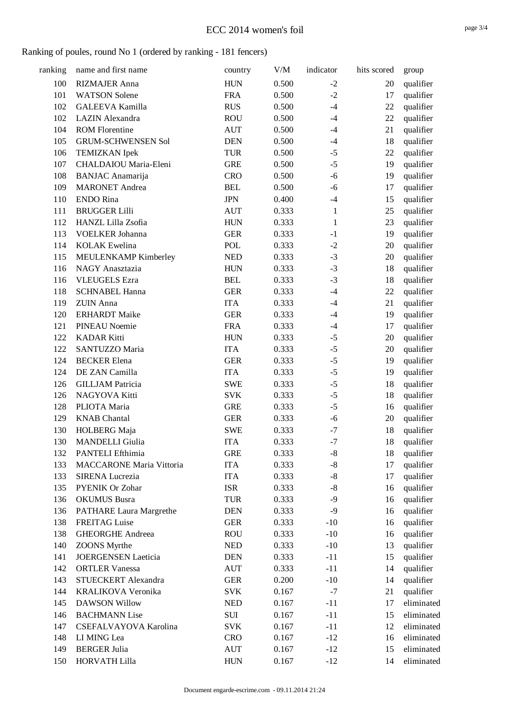#### Ranking of poules, round No 1 (ordered by ranking - 181 fencers)

| ranking | name and first name             | country    | V/M   | indicator    | hits scored | group      |
|---------|---------------------------------|------------|-------|--------------|-------------|------------|
| 100     | <b>RIZMAJER Anna</b>            | <b>HUN</b> | 0.500 | $-2$         | 20          | qualifier  |
| 101     | <b>WATSON Solene</b>            | <b>FRA</b> | 0.500 | $-2$         | 17          | qualifier  |
| 102     | <b>GALEEVA Kamilla</b>          | <b>RUS</b> | 0.500 | $-4$         | 22          | qualifier  |
| 102     | <b>LAZIN</b> Alexandra          | <b>ROU</b> | 0.500 | $-4$         | 22          | qualifier  |
| 104     | <b>ROM Florentine</b>           | <b>AUT</b> | 0.500 | $-4$         | 21          | qualifier  |
| 105     | <b>GRUM-SCHWENSEN Sol</b>       | <b>DEN</b> | 0.500 | $-4$         | 18          | qualifier  |
| 106     | <b>TEMIZKAN</b> Ipek            | TUR        | 0.500 | $-5$         | 22          | qualifier  |
| 107     | CHALDAIOU Maria-Eleni           | <b>GRE</b> | 0.500 | $-5$         | 19          | qualifier  |
| 108     | <b>BANJAC</b> Anamarija         | <b>CRO</b> | 0.500 | $-6$         | 19          | qualifier  |
| 109     | <b>MARONET</b> Andrea           | <b>BEL</b> | 0.500 | $-6$         | 17          | qualifier  |
| 110     | <b>ENDO</b> Rina                | <b>JPN</b> | 0.400 | $-4$         | 15          | qualifier  |
| 111     | <b>BRUGGER Lilli</b>            | <b>AUT</b> | 0.333 | $\mathbf{1}$ | 25          | qualifier  |
| 112     | HANZL Lilla Zsofia              | <b>HUN</b> | 0.333 | $\mathbf{1}$ | 23          | qualifier  |
| 113     | VOELKER Johanna                 | <b>GER</b> | 0.333 | $-1$         | 19          | qualifier  |
| 114     | <b>KOLAK</b> Ewelina            | POL        | 0.333 | $-2$         | 20          | qualifier  |
| 115     | MEULENKAMP Kimberley            | <b>NED</b> | 0.333 | $-3$         | 20          | qualifier  |
| 116     | NAGY Anasztazia                 | <b>HUN</b> | 0.333 | $-3$         | 18          | qualifier  |
| 116     | <b>VLEUGELS</b> Ezra            | <b>BEL</b> | 0.333 | $-3$         | 18          | qualifier  |
| 118     | <b>SCHNABEL Hanna</b>           | <b>GER</b> | 0.333 | $-4$         | 22          | qualifier  |
| 119     | <b>ZUIN</b> Anna                | <b>ITA</b> | 0.333 | $-4$         | 21          | qualifier  |
| 120     | <b>ERHARDT</b> Maike            | <b>GER</b> | 0.333 | $-4$         | 19          | qualifier  |
| 121     | <b>PINEAU Noemie</b>            | <b>FRA</b> | 0.333 | $-4$         | 17          | qualifier  |
| 122     | <b>KADAR Kitti</b>              | <b>HUN</b> | 0.333 | $-5$         | 20          | qualifier  |
| 122     | SANTUZZO Maria                  | <b>ITA</b> | 0.333 | $-5$         | 20          | qualifier  |
| 124     | <b>BECKER</b> Elena             | <b>GER</b> | 0.333 | $-5$         | 19          | qualifier  |
| 124     | DE ZAN Camilla                  | <b>ITA</b> | 0.333 | $-5$         | 19          | qualifier  |
| 126     | <b>GILLJAM Patricia</b>         | <b>SWE</b> | 0.333 | $-5$         | 18          | qualifier  |
| 126     | NAGYOVA Kitti                   | <b>SVK</b> | 0.333 | $-5$         | 18          | qualifier  |
| 128     | PLIOTA Maria                    | <b>GRE</b> | 0.333 | $-5$         | 16          | qualifier  |
| 129     | <b>KNAB</b> Chantal             | <b>GER</b> | 0.333 | $-6$         | 20          | qualifier  |
| 130     | HOLBERG Maja                    | <b>SWE</b> | 0.333 | $-7$         | 18          | qualifier  |
| 130     | <b>MANDELLI</b> Giulia          | <b>ITA</b> | 0.333 | $-7$         | 18          | qualifier  |
| 132     | PANTELI Efthimia                | <b>GRE</b> | 0.333 | $\text{-}8$  | 18          | qualifier  |
| 133     | <b>MACCARONE Maria Vittoria</b> | <b>ITA</b> | 0.333 | $\mbox{-}8$  | 17          | qualifier  |
| 133     | <b>SIRENA Lucrezia</b>          | <b>ITA</b> | 0.333 | $-8$         | 17          | qualifier  |
| 135     | <b>PYENIK Or Zohar</b>          | <b>ISR</b> | 0.333 | $-8$         | 16          | qualifier  |
| 136     | <b>OKUMUS</b> Busra             | <b>TUR</b> | 0.333 | $-9$         | 16          | qualifier  |
| 136     | <b>PATHARE Laura Margrethe</b>  | <b>DEN</b> | 0.333 | $-9$         | 16          | qualifier  |
| 138     | <b>FREITAG Luise</b>            | <b>GER</b> | 0.333 | $-10$        | 16          | qualifier  |
| 138     | <b>GHEORGHE Andreea</b>         | <b>ROU</b> | 0.333 | $-10$        | 16          | qualifier  |
| 140     | <b>ZOONS</b> Myrthe             | <b>NED</b> | 0.333 | $-10$        | 13          | qualifier  |
| 141     | <b>JOERGENSEN</b> Laeticia      | <b>DEN</b> | 0.333 | $-11$        | 15          | qualifier  |
| 142     | <b>ORTLER Vanessa</b>           | <b>AUT</b> | 0.333 | $-11$        | 14          | qualifier  |
| 143     | STUECKERT Alexandra             | <b>GER</b> | 0.200 | $-10$        | 14          | qualifier  |
| 144     | KRALIKOVA Veronika              | <b>SVK</b> | 0.167 | $-7$         | 21          | qualifier  |
| 145     | <b>DAWSON Willow</b>            | <b>NED</b> | 0.167 | $-11$        | 17          | eliminated |
| 146     | <b>BACHMANN</b> Lise            | SUI        | 0.167 | $-11$        | 15          | eliminated |
| 147     | CSEFALVAYOVA Karolina           | <b>SVK</b> | 0.167 | $-11$        | 12          | eliminated |
| 148     | LI MING Lea                     | <b>CRO</b> | 0.167 | $-12$        | 16          | eliminated |
| 149     | <b>BERGER Julia</b>             | <b>AUT</b> | 0.167 | $-12$        | 15          | eliminated |
| 150     | <b>HORVATH Lilla</b>            | <b>HUN</b> | 0.167 | $-12$        | 14          | eliminated |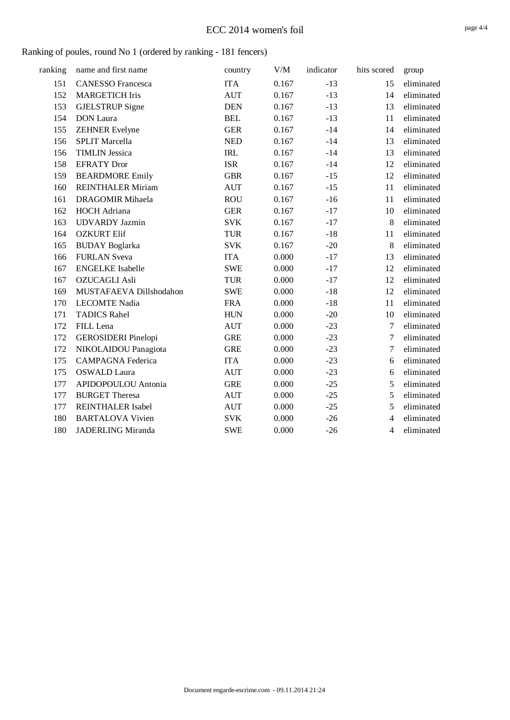#### Ranking of poules, round No 1 (ordered by ranking - 181 fencers)

| ranking | name and first name        | country    | $V\!/\!M$ | indicator | hits scored    | group      |
|---------|----------------------------|------------|-----------|-----------|----------------|------------|
| 151     | <b>CANESSO Francesca</b>   | <b>ITA</b> | 0.167     | $-13$     | 15             | eliminated |
| 152     | <b>MARGETICH Iris</b>      | <b>AUT</b> | 0.167     | $-13$     | 14             | eliminated |
| 153     | <b>GJELSTRUP</b> Signe     | <b>DEN</b> | 0.167     | $-13$     | 13             | eliminated |
| 154     | <b>DON</b> Laura           | <b>BEL</b> | 0.167     | $-13$     | 11             | eliminated |
| 155     | <b>ZEHNER Evelyne</b>      | <b>GER</b> | 0.167     | $-14$     | 14             | eliminated |
| 156     | <b>SPLIT Marcella</b>      | <b>NED</b> | 0.167     | $-14$     | 13             | eliminated |
| 156     | <b>TIMLIN Jessica</b>      | <b>IRL</b> | 0.167     | $-14$     | 13             | eliminated |
| 158     | <b>EFRATY</b> Dror         | <b>ISR</b> | 0.167     | $-14$     | 12             | eliminated |
| 159     | <b>BEARDMORE Emily</b>     | <b>GBR</b> | 0.167     | $-15$     | 12             | eliminated |
| 160     | <b>REINTHALER Miriam</b>   | <b>AUT</b> | 0.167     | $-15$     | 11             | eliminated |
| 161     | <b>DRAGOMIR Mihaela</b>    | <b>ROU</b> | 0.167     | $-16$     | 11             | eliminated |
| 162     | <b>HOCH</b> Adriana        | <b>GER</b> | 0.167     | $-17$     | 10             | eliminated |
| 163     | <b>UDVARDY</b> Jazmin      | <b>SVK</b> | 0.167     | $-17$     | 8              | eliminated |
| 164     | <b>OZKURT Elif</b>         | <b>TUR</b> | 0.167     | $-18$     | 11             | eliminated |
| 165     | <b>BUDAY</b> Boglarka      | <b>SVK</b> | 0.167     | $-20$     | 8              | eliminated |
| 166     | <b>FURLAN Sveva</b>        | <b>ITA</b> | 0.000     | $-17$     | 13             | eliminated |
| 167     | <b>ENGELKE</b> Isabelle    | <b>SWE</b> | 0.000     | $-17$     | 12             | eliminated |
| 167     | <b>OZUCAGLI Asli</b>       | <b>TUR</b> | 0.000     | $-17$     | 12             | eliminated |
| 169     | MUSTAFAEVA Dillshodahon    | <b>SWE</b> | 0.000     | $-18$     | 12             | eliminated |
| 170     | <b>LECOMTE Nadia</b>       | <b>FRA</b> | 0.000     | $-18$     | 11             | eliminated |
| 171     | <b>TADICS Rahel</b>        | <b>HUN</b> | 0.000     | $-20$     | 10             | eliminated |
| 172     | FILL Lena                  | <b>AUT</b> | 0.000     | $-23$     | $\overline{7}$ | eliminated |
| 172     | <b>GEROSIDERI</b> Pinelopi | <b>GRE</b> | 0.000     | $-23$     | $\overline{7}$ | eliminated |
| 172     | NIKOLAIDOU Panagiota       | <b>GRE</b> | 0.000     | $-23$     | 7              | eliminated |
| 175     | <b>CAMPAGNA Federica</b>   | <b>ITA</b> | 0.000     | $-23$     | 6              | eliminated |
| 175     | <b>OSWALD Laura</b>        | <b>AUT</b> | 0.000     | $-23$     | 6              | eliminated |
| 177     | APIDOPOULOU Antonia        | <b>GRE</b> | 0.000     | $-25$     | 5              | eliminated |
| 177     | <b>BURGET Theresa</b>      | <b>AUT</b> | 0.000     | $-25$     | 5              | eliminated |
| 177     | <b>REINTHALER Isabel</b>   | <b>AUT</b> | 0.000     | $-25$     | 5              | eliminated |
| 180     | <b>BARTALOVA Vivien</b>    | <b>SVK</b> | 0.000     | $-26$     | 4              | eliminated |
| 180     | <b>JADERLING Miranda</b>   | <b>SWE</b> | 0.000     | $-26$     | 4              | eliminated |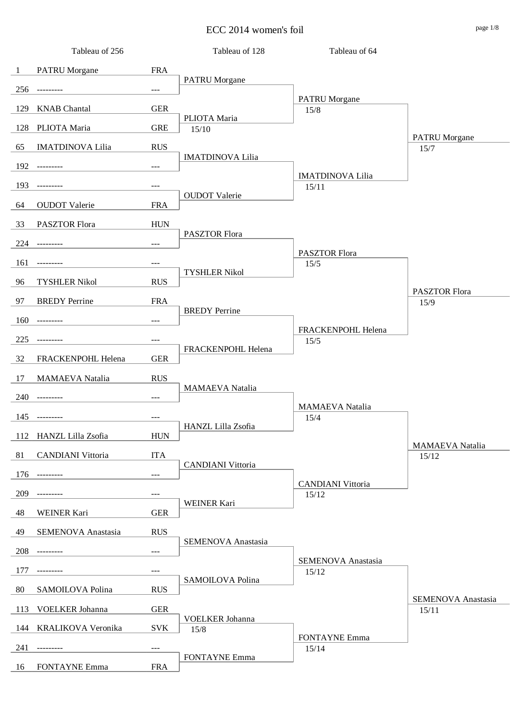ECC 2014 women's foil page 1/8

|              | Tableau of 256            |                                     | Tableau of 128           | Tableau of 64                     |                              |
|--------------|---------------------------|-------------------------------------|--------------------------|-----------------------------------|------------------------------|
| $\mathbf{1}$ | <b>PATRU</b> Morgane      | <b>FRA</b>                          |                          |                                   |                              |
| 256          | ---------                 | $\hspace{0.05cm}---\hspace{0.05cm}$ | <b>PATRU</b> Morgane     |                                   |                              |
| 129          | <b>KNAB</b> Chantal       | <b>GER</b>                          |                          | <b>PATRU</b> Morgane<br>15/8      |                              |
| 128          | PLIOTA Maria              | <b>GRE</b>                          | PLIOTA Maria<br>15/10    |                                   |                              |
| 65           | <b>IMATDINOVA Lilia</b>   | <b>RUS</b>                          |                          |                                   | <b>PATRU</b> Morgane<br>15/7 |
| 192          | $- - - - - - - - -$       | $\qquad \qquad - -$                 | <b>IMATDINOVA Lilia</b>  |                                   |                              |
|              |                           |                                     |                          | <b>IMATDINOVA Lilia</b>           |                              |
| 193          |                           | $\qquad \qquad - -$                 | <b>OUDOT</b> Valerie     | 15/11                             |                              |
| 64           | <b>OUDOT</b> Valerie      | <b>FRA</b>                          |                          |                                   |                              |
| 33           | <b>PASZTOR Flora</b>      | <b>HUN</b>                          | PASZTOR Flora            |                                   |                              |
| 224          | ---------                 | $---$                               |                          | PASZTOR Flora                     |                              |
| 161          | ---------                 | $\qquad \qquad - -$                 |                          | 15/5                              |                              |
| 96           | <b>TYSHLER Nikol</b>      | <b>RUS</b>                          | <b>TYSHLER Nikol</b>     |                                   |                              |
| 97           | <b>BREDY</b> Perrine      | <b>FRA</b>                          |                          |                                   | PASZTOR Flora<br>15/9        |
| 160          |                           | $\!\!\!\!\!-\!-\!$ $\!\!\!-\!$      | <b>BREDY</b> Perrine     |                                   |                              |
| 225          |                           | $---$                               |                          | FRACKENPOHL Helena<br>15/5        |                              |
| 32           | FRACKENPOHL Helena        | <b>GER</b>                          | FRACKENPOHL Helena       |                                   |                              |
|              |                           |                                     |                          |                                   |                              |
| 17           | <b>MAMAEVA</b> Natalia    | <b>RUS</b>                          | <b>MAMAEVA</b> Natalia   |                                   |                              |
|              | 240 ---------             | $\!\!\!\!\!-\!-\!$ $\!\!\!-\!$      |                          | MAMAEVA Natalia                   |                              |
|              | 145 ---------             | $---$                               | HANZL Lilla Zsofia       | 15/4                              |                              |
|              | 112 HANZL Lilla Zsofia    | <b>HUN</b>                          |                          |                                   | <b>MAMAEVA</b> Natalia       |
| 81           | <b>CANDIANI</b> Vittoria  | <b>ITA</b>                          |                          |                                   | 15/12                        |
| 176          |                           | $---$                               | <b>CANDIANI</b> Vittoria |                                   |                              |
| 209          |                           | $---$                               |                          | <b>CANDIANI Vittoria</b><br>15/12 |                              |
| 48           | WEINER Kari               | <b>GER</b>                          | <b>WEINER Kari</b>       |                                   |                              |
| 49           | <b>SEMENOVA</b> Anastasia | <b>RUS</b>                          |                          |                                   |                              |
| 208          |                           | $---$                               | SEMENOVA Anastasia       |                                   |                              |
|              |                           |                                     |                          | SEMENOVA Anastasia                |                              |
| 177          |                           | $---$                               | SAMOILOVA Polina         | 15/12                             |                              |
| 80           | SAMOILOVA Polina          | <b>RUS</b>                          |                          |                                   | SEMENOVA Anastasia           |
| 113          | VOELKER Johanna           | <b>GER</b>                          | VOELKER Johanna          |                                   | 15/11                        |
| 144          | KRALIKOVA Veronika        | <b>SVK</b>                          | 15/8                     | <b>FONTAYNE Emma</b>              |                              |
| 241          |                           | $---$                               | <b>FONTAYNE Emma</b>     | 15/14                             |                              |
| 16           | <b>FONTAYNE Emma</b>      | <b>FRA</b>                          |                          |                                   |                              |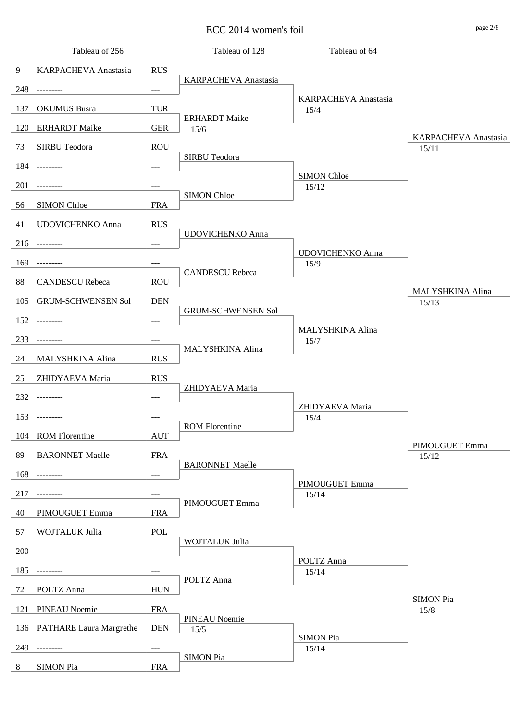ECC 2014 women's foil page 2/8

|     | Tableau of 256                 |            | Tableau of 128            | Tableau of 64                       |                         |
|-----|--------------------------------|------------|---------------------------|-------------------------------------|-------------------------|
| 9   | KARPACHEVA Anastasia           | <b>RUS</b> |                           |                                     |                         |
| 248 | ---------                      | $---$      | KARPACHEVA Anastasia      |                                     |                         |
| 137 | <b>OKUMUS</b> Busra            | <b>TUR</b> |                           | <b>KARPACHEVA Anastasia</b><br>15/4 |                         |
|     |                                |            | <b>ERHARDT</b> Maike      |                                     |                         |
| 120 | <b>ERHARDT</b> Maike           | <b>GER</b> | 15/6                      |                                     | KARPACHEVA Anastasia    |
| 73  | <b>SIRBU Teodora</b>           | <b>ROU</b> | SIRBU Teodora             |                                     | 15/11                   |
| 184 | ---------                      | $---$      |                           | <b>SIMON Chloe</b>                  |                         |
| 201 |                                | ---        | <b>SIMON Chloe</b>        | 15/12                               |                         |
| 56  | <b>SIMON Chloe</b>             | <b>FRA</b> |                           |                                     |                         |
| 41  | UDOVICHENKO Anna               | <b>RUS</b> |                           |                                     |                         |
| 216 | $- - - - - - - - -$            | $---$      | <b>UDOVICHENKO Anna</b>   |                                     |                         |
| 169 |                                | ---        |                           | <b>UDOVICHENKO Anna</b><br>15/9     |                         |
|     |                                |            | <b>CANDESCU Rebeca</b>    |                                     |                         |
| 88  | <b>CANDESCU Rebeca</b>         | <b>ROU</b> |                           |                                     | <b>MALYSHKINA Alina</b> |
| 105 | <b>GRUM-SCHWENSEN Sol</b>      | <b>DEN</b> | <b>GRUM-SCHWENSEN Sol</b> |                                     | 15/13                   |
| 152 | ---------                      | $---$      |                           | MALYSHKINA Alina                    |                         |
| 233 | ------                         | $---$      | MALYSHKINA Alina          | 15/7                                |                         |
| 24  | MALYSHKINA Alina               | <b>RUS</b> |                           |                                     |                         |
| 25  | ZHIDYAEVA Maria                | <b>RUS</b> |                           |                                     |                         |
| 232 | ---------                      | $---$      | ZHIDYAEVA Maria           |                                     |                         |
| 153 | ----------                     | $---$      |                           | ZHIDYAEVA Maria<br>15/4             |                         |
|     |                                |            | <b>ROM Florentine</b>     |                                     |                         |
| 104 | <b>ROM Florentine</b>          | <b>AUT</b> |                           |                                     | PIMOUGUET Emma          |
| 89  | <b>BARONNET Maelle</b>         | <b>FRA</b> | <b>BARONNET Maelle</b>    |                                     | 15/12                   |
| 168 | ---------                      | ---        |                           | PIMOUGUET Emma                      |                         |
| 217 |                                | $---$      | PIMOUGUET Emma            | 15/14                               |                         |
| 40  | PIMOUGUET Emma                 | <b>FRA</b> |                           |                                     |                         |
| 57  | WOJTALUK Julia                 | POL        |                           |                                     |                         |
| 200 | $- - - - - - - - -$            | ---        | WOJTALUK Julia            |                                     |                         |
| 185 |                                | $---$      |                           | POLTZ Anna<br>15/14                 |                         |
| 72  | POLTZ Anna                     | <b>HUN</b> | POLTZ Anna                |                                     |                         |
|     |                                |            |                           |                                     | <b>SIMON Pia</b>        |
| 121 | <b>PINEAU Noemie</b>           | <b>FRA</b> | <b>PINEAU Noemie</b>      |                                     | 15/8                    |
| 136 | <b>PATHARE Laura Margrethe</b> | <b>DEN</b> | 15/5                      | <b>SIMON Pia</b>                    |                         |
| 249 | ------                         | $---$      | <b>SIMON Pia</b>          | 15/14                               |                         |
| 8   | <b>SIMON Pia</b>               | <b>FRA</b> |                           |                                     |                         |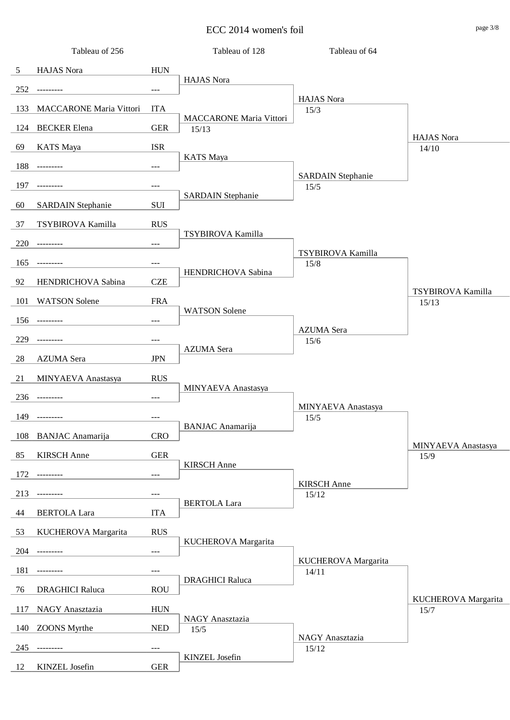$\text{ECC } 2014 \text{ women's foil}$ 

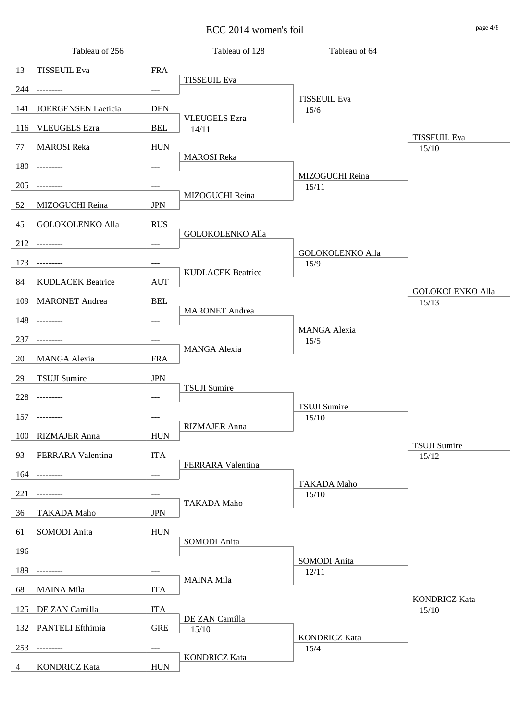ECC 2014 women's foil page 4/8

|     | Tableau of 256           |                     | Tableau of 128                | Tableau of 64               |                                  |
|-----|--------------------------|---------------------|-------------------------------|-----------------------------|----------------------------------|
| 13  | <b>TISSEUIL Eva</b>      | <b>FRA</b>          |                               |                             |                                  |
| 244 | ----------               | $\qquad \qquad - -$ | <b>TISSEUIL Eva</b>           |                             |                                  |
| 141 | JOERGENSEN Laeticia      | <b>DEN</b>          |                               | <b>TISSEUIL Eva</b><br>15/6 |                                  |
| 116 | <b>VLEUGELS</b> Ezra     | <b>BEL</b>          | <b>VLEUGELS</b> Ezra<br>14/11 |                             |                                  |
| 77  | <b>MAROSI</b> Reka       | ${\rm HUN}$         |                               |                             | <b>TISSEUIL Eva</b><br>15/10     |
| 180 | ---------                |                     | <b>MAROSI</b> Reka            |                             |                                  |
|     |                          | $\qquad \qquad - -$ |                               | MIZOGUCHI Reina             |                                  |
| 205 | ---------                | $---$               | MIZOGUCHI Reina               | 15/11                       |                                  |
| 52  | MIZOGUCHI Reina          | <b>JPN</b>          |                               |                             |                                  |
| 45  | <b>GOLOKOLENKO Alla</b>  | <b>RUS</b>          | <b>GOLOKOLENKO Alla</b>       |                             |                                  |
|     | $212$ ---------          | $\qquad \qquad - -$ |                               | <b>GOLOKOLENKO Alla</b>     |                                  |
| 173 | ---------                | ---                 |                               | 15/9                        |                                  |
| 84  | <b>KUDLACEK Beatrice</b> | <b>AUT</b>          | <b>KUDLACEK Beatrice</b>      |                             |                                  |
| 109 | <b>MARONET</b> Andrea    | <b>BEL</b>          |                               |                             | <b>GOLOKOLENKO Alla</b><br>15/13 |
| 148 | ---------                | $\qquad \qquad - -$ | <b>MARONET</b> Andrea         |                             |                                  |
| 237 | ---------                | $\qquad \qquad - -$ |                               | <b>MANGA Alexia</b><br>15/5 |                                  |
| 20  | <b>MANGA Alexia</b>      | <b>FRA</b>          | <b>MANGA Alexia</b>           |                             |                                  |
|     |                          |                     |                               |                             |                                  |
| 29  | <b>TSUJI</b> Sumire      | <b>JPN</b>          | <b>TSUJI</b> Sumire           |                             |                                  |
| 228 | ---------                | $\qquad \qquad - -$ |                               | <b>TSUJI Sumire</b>         |                                  |
| 157 | ---------                | $---$               | RIZMAJER Anna                 | 15/10                       |                                  |
|     | 100 RIZMAJER Anna        | <b>HUN</b>          |                               |                             | <b>TSUJI</b> Sumire              |
| 93  | FERRARA Valentina        | <b>ITA</b>          |                               |                             | 15/12                            |
| 164 | ---------                | $\qquad \qquad - -$ | FERRARA Valentina             |                             |                                  |
| 221 |                          | $---$               |                               | <b>TAKADA Maho</b><br>15/10 |                                  |
| 36  | <b>TAKADA Maho</b>       | <b>JPN</b>          | TAKADA Maho                   |                             |                                  |
| 61  | SOMODI Anita             | ${\rm HUN}$         |                               |                             |                                  |
| 196 |                          | $\qquad \qquad - -$ | SOMODI Anita                  |                             |                                  |
|     |                          |                     |                               | SOMODI Anita                |                                  |
| 189 |                          | $---$               | <b>MAINA Mila</b>             | 12/11                       |                                  |
| 68  | <b>MAINA Mila</b>        | <b>ITA</b>          |                               |                             | <b>KONDRICZ Kata</b>             |
| 125 | DE ZAN Camilla           | <b>ITA</b>          | DE ZAN Camilla                |                             | 15/10                            |
| 132 | PANTELI Efthimia         | <b>GRE</b>          | 15/10                         | <b>KONDRICZ Kata</b>        |                                  |
| 253 |                          | $---$               | <b>KONDRICZ Kata</b>          | 15/4                        |                                  |
| 4   | <b>KONDRICZ Kata</b>     | <b>HUN</b>          |                               |                             |                                  |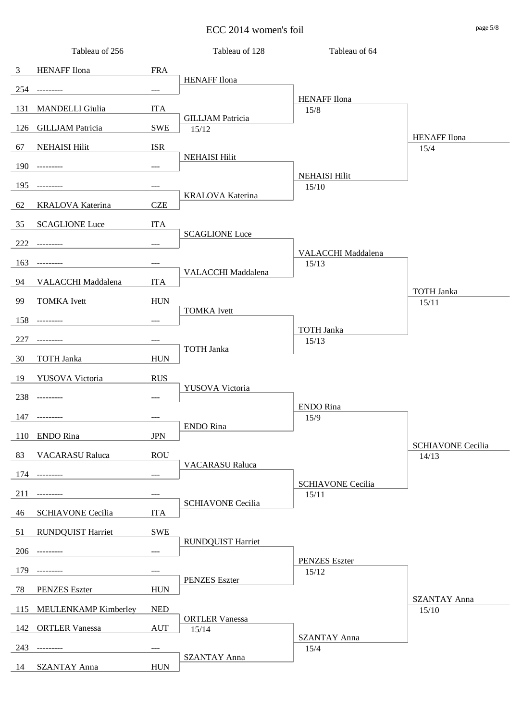ECC 2014 women's foil page 5/8

|                | Tableau of 256           |            | Tableau of 128                   | Tableau of 64                 |                                   |
|----------------|--------------------------|------------|----------------------------------|-------------------------------|-----------------------------------|
| $\mathfrak{Z}$ | <b>HENAFF</b> Ilona      | <b>FRA</b> |                                  |                               |                                   |
| 254            | ---------                | $---$      | <b>HENAFF</b> Ilona              |                               |                                   |
| 131            | <b>MANDELLI</b> Giulia   | <b>ITA</b> |                                  | <b>HENAFF</b> Ilona<br>$15/8$ |                                   |
| 126            | <b>GILLJAM Patricia</b>  | <b>SWE</b> | <b>GILLJAM Patricia</b><br>15/12 |                               |                                   |
| 67             | <b>NEHAISI Hilit</b>     | <b>ISR</b> |                                  |                               | <b>HENAFF</b> Ilona<br>15/4       |
|                |                          |            | <b>NEHAISI Hilit</b>             |                               |                                   |
| 190            | ----------               | $---$      |                                  | <b>NEHAISI Hilit</b>          |                                   |
| 195            |                          | ---        | KRALOVA Katerina                 | 15/10                         |                                   |
| 62             | KRALOVA Katerina         | <b>CZE</b> |                                  |                               |                                   |
| 35             | <b>SCAGLIONE Luce</b>    | <b>ITA</b> | <b>SCAGLIONE Luce</b>            |                               |                                   |
| 222            | ---------                | ---        |                                  | VALACCHI Maddalena            |                                   |
| 163            | ---------                | ---        |                                  | 15/13                         |                                   |
| 94             | VALACCHI Maddalena       | <b>ITA</b> | VALACCHI Maddalena               |                               |                                   |
| 99             | <b>TOMKA</b> Ivett       | <b>HUN</b> |                                  |                               | <b>TOTH Janka</b><br>15/11        |
| 158            |                          | $---$      | <b>TOMKA</b> Ivett               |                               |                                   |
|                |                          |            |                                  | <b>TOTH Janka</b>             |                                   |
| 227            | ---------                | ---        | <b>TOTH Janka</b>                | 15/13                         |                                   |
| 30             | <b>TOTH Janka</b>        | <b>HUN</b> |                                  |                               |                                   |
| 19             | YUSOVA Victoria          | <b>RUS</b> | YUSOVA Victoria                  |                               |                                   |
| 238            | ---------                | $---$      |                                  | <b>ENDO</b> Rina              |                                   |
| 147            | ---------                | $---$      |                                  | 15/9                          |                                   |
|                | 110 ENDO Rina            | <b>JPN</b> | ENDO Rina                        |                               |                                   |
| 83             | <b>VACARASU Raluca</b>   | <b>ROU</b> |                                  |                               | <b>SCHIAVONE Cecilia</b><br>14/13 |
| 174            | ----------               | ---        | <b>VACARASU Raluca</b>           |                               |                                   |
| 211            |                          | ---        |                                  | <b>SCHIAVONE Cecilia</b>      |                                   |
|                |                          |            | <b>SCHIAVONE Cecilia</b>         | 15/11                         |                                   |
| 46             | <b>SCHIAVONE Cecilia</b> | <b>ITA</b> |                                  |                               |                                   |
| 51             | <b>RUNDQUIST Harriet</b> | <b>SWE</b> | <b>RUNDQUIST Harriet</b>         |                               |                                   |
| 206            |                          | ---        |                                  | <b>PENZES</b> Eszter          |                                   |
| 179            |                          | $---$      | <b>PENZES</b> Eszter             | 15/12                         |                                   |
| 78             | <b>PENZES</b> Eszter     | <b>HUN</b> |                                  |                               |                                   |
| 115            | MEULENKAMP Kimberley     | <b>NED</b> |                                  |                               | <b>SZANTAY Anna</b><br>15/10      |
| 142            | <b>ORTLER Vanessa</b>    | <b>AUT</b> | <b>ORTLER Vanessa</b><br>15/14   |                               |                                   |
| 243            |                          | $---$      |                                  | <b>SZANTAY Anna</b><br>15/4   |                                   |
| 14             | <b>SZANTAY Anna</b>      | <b>HUN</b> | <b>SZANTAY Anna</b>              |                               |                                   |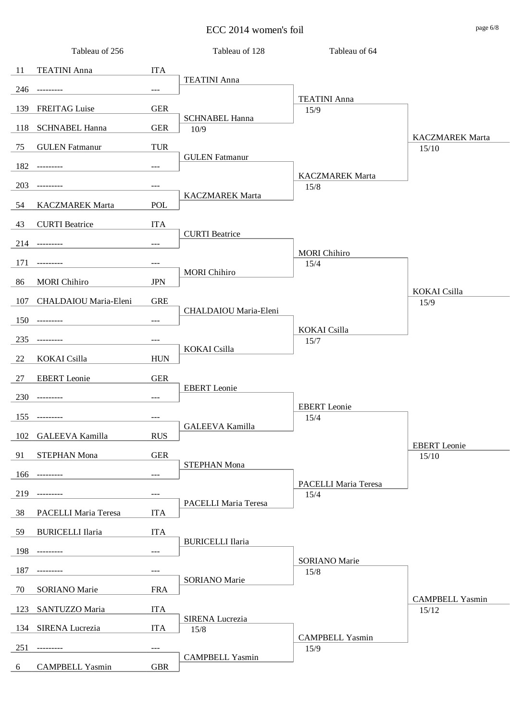ECC 2014 women's foil page 6/8

|     | Tableau of 256          |                     | Tableau of 128                | Tableau of 64                |                                 |
|-----|-------------------------|---------------------|-------------------------------|------------------------------|---------------------------------|
| 11  | <b>TEATINI Anna</b>     | <b>ITA</b>          |                               |                              |                                 |
| 246 | ---------               | $---$               | <b>TEATINI</b> Anna           |                              |                                 |
| 139 | <b>FREITAG</b> Luise    | <b>GER</b>          |                               | <b>TEATINI</b> Anna<br>15/9  |                                 |
| 118 | <b>SCHNABEL Hanna</b>   | <b>GER</b>          | <b>SCHNABEL Hanna</b><br>10/9 |                              |                                 |
| 75  | <b>GULEN</b> Fatmanur   | <b>TUR</b>          |                               |                              | <b>KACZMAREK Marta</b><br>15/10 |
| 182 | ---------               | $\qquad \qquad - -$ | <b>GULEN</b> Fatmanur         |                              |                                 |
|     |                         |                     |                               | <b>KACZMAREK Marta</b>       |                                 |
| 203 |                         | ---                 | <b>KACZMAREK Marta</b>        | 15/8                         |                                 |
| 54  | <b>KACZMAREK Marta</b>  | <b>POL</b>          |                               |                              |                                 |
| 43  | <b>CURTI</b> Beatrice   | <b>ITA</b>          | <b>CURTI</b> Beatrice         |                              |                                 |
| 214 | ---------               | $---$               |                               | <b>MORI</b> Chihiro          |                                 |
| 171 | ---------               | $---$               |                               | 15/4                         |                                 |
| 86  | <b>MORI</b> Chihiro     | <b>JPN</b>          | <b>MORI</b> Chihiro           |                              |                                 |
| 107 | CHALDAIOU Maria-Eleni   | <b>GRE</b>          |                               |                              | KOKAI Csilla<br>15/9            |
| 150 | $- - - - - - - - -$     | $\qquad \qquad - -$ | CHALDAIOU Maria-Eleni         |                              |                                 |
| 235 | ---------               | ---                 |                               | KOKAI Csilla<br>15/7         |                                 |
| 22  | KOKAI Csilla            | <b>HUN</b>          | KOKAI Csilla                  |                              |                                 |
| 27  | <b>EBERT</b> Leonie     | <b>GER</b>          |                               |                              |                                 |
|     |                         |                     | <b>EBERT</b> Leonie           |                              |                                 |
|     | $230$ ---------         | ---                 |                               | <b>EBERT</b> Leonie          |                                 |
|     | $155$ ---------         | ---                 | GALEEVA Kamilla               | 15/4                         |                                 |
| 102 | <b>GALEEVA Kamilla</b>  | <b>RUS</b>          |                               |                              | <b>EBERT</b> Leonie             |
| 91  | STEPHAN Mona            | <b>GER</b>          | <b>STEPHAN Mona</b>           |                              | 15/10                           |
| 166 | ----------              | ---                 |                               | PACELLI Maria Teresa         |                                 |
| 219 |                         | ---                 |                               | 15/4                         |                                 |
| 38  | PACELLI Maria Teresa    | <b>ITA</b>          | PACELLI Maria Teresa          |                              |                                 |
| 59  | <b>BURICELLI Ilaria</b> | <b>ITA</b>          |                               |                              |                                 |
| 198 | ---------               | ---                 | <b>BURICELLI Ilaria</b>       |                              |                                 |
| 187 |                         | ---                 |                               | <b>SORIANO</b> Marie<br>15/8 |                                 |
| 70  | <b>SORIANO</b> Marie    | <b>FRA</b>          | SORIANO Marie                 |                              |                                 |
|     |                         |                     |                               |                              | <b>CAMPBELL Yasmin</b>          |
| 123 | SANTUZZO Maria          | <b>ITA</b>          | SIRENA Lucrezia               |                              | 15/12                           |
| 134 | SIRENA Lucrezia         | <b>ITA</b>          | $15/8$                        | <b>CAMPBELL Yasmin</b>       |                                 |
| 251 | ---------               | ---                 | <b>CAMPBELL Yasmin</b>        | 15/9                         |                                 |
| 6   | <b>CAMPBELL Yasmin</b>  | <b>GBR</b>          |                               |                              |                                 |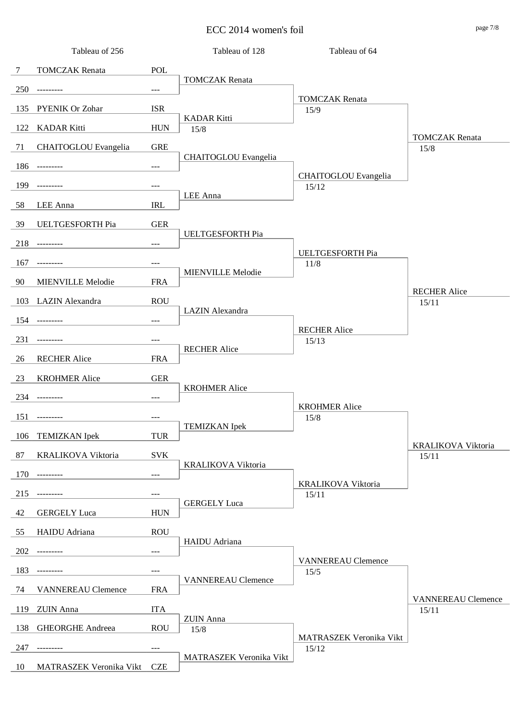ECC 2014 women's foil page 7/8

|        | Tableau of 256              |                                | Tableau of 128             | Tableau of 64                 |                                    |
|--------|-----------------------------|--------------------------------|----------------------------|-------------------------------|------------------------------------|
| $\tau$ | <b>TOMCZAK</b> Renata       | POL                            |                            |                               |                                    |
| 250    | ---------                   | $\!\!\!\!\!-\!-\!$ $\!\!\!-\!$ | <b>TOMCZAK</b> Renata      |                               |                                    |
| 135    | PYENIK Or Zohar             | <b>ISR</b>                     |                            | <b>TOMCZAK</b> Renata<br>15/9 |                                    |
| 122    | <b>KADAR Kitti</b>          | <b>HUN</b>                     | <b>KADAR Kitti</b><br>15/8 |                               |                                    |
| 71     | <b>CHAITOGLOU</b> Evangelia | <b>GRE</b>                     |                            |                               | <b>TOMCZAK</b> Renata<br>15/8      |
|        |                             |                                | CHAITOGLOU Evangelia       |                               |                                    |
| 186    | ---------                   | $\qquad \qquad - -$            |                            | CHAITOGLOU Evangelia          |                                    |
| 199    | ---------                   | $\qquad \qquad - -$            | LEE Anna                   | 15/12                         |                                    |
| 58     | LEE Anna                    | <b>IRL</b>                     |                            |                               |                                    |
| 39     | UELTGESFORTH Pia            | <b>GER</b>                     | UELTGESFORTH Pia           |                               |                                    |
| 218    | $- - - - - - - - -$         | $---$                          |                            | UELTGESFORTH Pia              |                                    |
| 167    | ---------                   | $---$                          |                            | 11/8                          |                                    |
| 90     | MIENVILLE Melodie           | <b>FRA</b>                     | <b>MIENVILLE Melodie</b>   |                               |                                    |
| 103    | LAZIN Alexandra             | <b>ROU</b>                     |                            |                               | <b>RECHER Alice</b><br>15/11       |
| 154    | $- - - - - - - - -$         | $\!\!\!\!\!-\!-\!$ $\!\!\!-\!$ | LAZIN Alexandra            |                               |                                    |
| 231    |                             | $---$                          |                            | <b>RECHER Alice</b><br>15/13  |                                    |
|        |                             |                                | <b>RECHER Alice</b>        |                               |                                    |
| 26     | <b>RECHER Alice</b>         | <b>FRA</b>                     |                            |                               |                                    |
| 23     | <b>KROHMER Alice</b>        | <b>GER</b>                     | <b>KROHMER Alice</b>       |                               |                                    |
| 234    | $- - - - - - - - -$         | $---$                          |                            | <b>KROHMER Alice</b>          |                                    |
| 151    | ---------                   | $\qquad \qquad - -$            | <b>TEMIZKAN</b> Ipek       | 15/8                          |                                    |
| 106    | <b>TEMIZKAN</b> Ipek        | <b>TUR</b>                     |                            |                               |                                    |
| 87     | KRALIKOVA Viktoria          | <b>SVK</b>                     |                            |                               | <b>KRALIKOVA Viktoria</b><br>15/11 |
| 170    | ----------                  | $\qquad \qquad - -$            | <b>KRALIKOVA Viktoria</b>  |                               |                                    |
| 215    | ---------                   | ---                            |                            | KRALIKOVA Viktoria<br>15/11   |                                    |
| 42     | <b>GERGELY</b> Luca         | <b>HUN</b>                     | <b>GERGELY</b> Luca        |                               |                                    |
| 55     | HAIDU Adriana               | <b>ROU</b>                     |                            |                               |                                    |
|        |                             |                                | HAIDU Adriana              |                               |                                    |
| 202    | ---------                   | $\qquad \qquad - -$            |                            | <b>VANNEREAU Clemence</b>     |                                    |
| 183    |                             | $---$                          | <b>VANNEREAU Clemence</b>  | 15/5                          |                                    |
| 74     | <b>VANNEREAU Clemence</b>   | <b>FRA</b>                     |                            |                               | <b>VANNEREAU Clemence</b>          |
| 119    | <b>ZUIN</b> Anna            | <b>ITA</b>                     | <b>ZUIN</b> Anna           |                               | 15/11                              |
| 138    | <b>GHEORGHE Andreea</b>     | <b>ROU</b>                     | 15/8                       | MATRASZEK Veronika Vikt       |                                    |
| 247    | ---------                   | $---$                          |                            | 15/12                         |                                    |
| 10     | MATRASZEK Veronika Vikt     | <b>CZE</b>                     | MATRASZEK Veronika Vikt    |                               |                                    |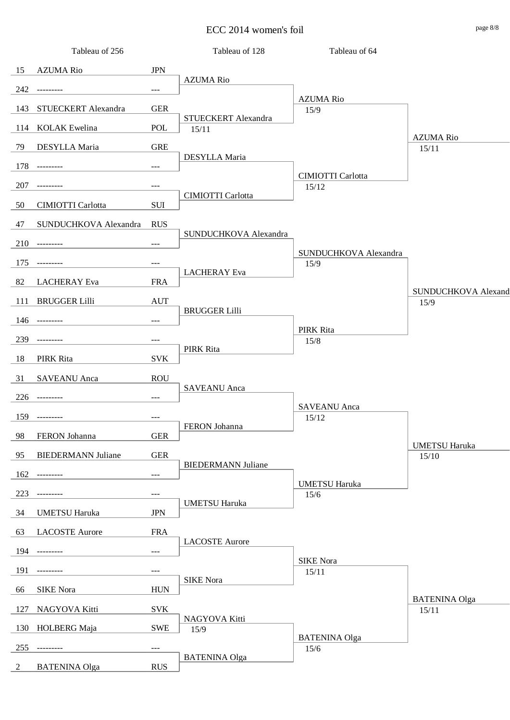ECC 2014 women's foil page 8/8

|                | Tableau of 256            |                                     | Tableau of 128               | Tableau of 64                     |                               |
|----------------|---------------------------|-------------------------------------|------------------------------|-----------------------------------|-------------------------------|
| 15             | <b>AZUMA Rio</b>          | <b>JPN</b>                          |                              |                                   |                               |
| 242            | $- - - - - - - - -$       | $\hspace{0.05cm}---\hspace{0.05cm}$ | <b>AZUMA Rio</b>             |                                   |                               |
| 143            | STUECKERT Alexandra       | <b>GER</b>                          |                              | <b>AZUMA Rio</b><br>15/9          |                               |
| 114            | <b>KOLAK</b> Ewelina      | POL                                 | STUECKERT Alexandra<br>15/11 |                                   |                               |
| 79             | DESYLLA Maria             | <b>GRE</b>                          |                              |                                   | <b>AZUMA Rio</b><br>15/11     |
| 178            | ---------                 | $---$                               | DESYLLA Maria                |                                   |                               |
| 207            | ---------                 | $---$                               |                              | <b>CIMIOTTI Carlotta</b><br>15/12 |                               |
| 50             | CIMIOTTI Carlotta         | <b>SUI</b>                          | CIMIOTTI Carlotta            |                                   |                               |
| 47             | SUNDUCHKOVA Alexandra     | <b>RUS</b>                          |                              |                                   |                               |
|                |                           |                                     | SUNDUCHKOVA Alexandra        |                                   |                               |
|                | $210$ ---------           | $\scriptstyle \cdots$               |                              | SUNDUCHKOVA Alexandra             |                               |
| 175            | ---------                 | $\hspace{0.05cm}---\hspace{0.05cm}$ | <b>LACHERAY</b> Eva          | 15/9                              |                               |
| 82             | <b>LACHERAY</b> Eva       | <b>FRA</b>                          |                              |                                   | SUNDUCHKOVA Alexand           |
| 111            | <b>BRUGGER Lilli</b>      | <b>AUT</b>                          | <b>BRUGGER Lilli</b>         |                                   | 15/9                          |
| 146            | $- - - - - - - - -$       | $---$                               |                              | PIRK Rita                         |                               |
| 239            | $- - - - - - - - -$       | $---$                               |                              | 15/8                              |                               |
| 18             | PIRK Rita                 | <b>SVK</b>                          | PIRK Rita                    |                                   |                               |
| 31             | <b>SAVEANU</b> Anca       | <b>ROU</b>                          |                              |                                   |                               |
|                | $226$ ---------           | $---$                               | <b>SAVEANU</b> Anca          |                                   |                               |
|                | 159 ---------             | $\qquad \qquad - -$                 |                              | <b>SAVEANU</b> Anca<br>15/12      |                               |
| 98             | FERON Johanna             | <b>GER</b>                          | FERON Johanna                |                                   |                               |
| 95             | <b>BIEDERMANN Juliane</b> | ${\tt GER}$                         |                              |                                   | <b>UMETSU Haruka</b>          |
|                |                           |                                     | <b>BIEDERMANN Juliane</b>    |                                   | 15/10                         |
| 162            | ---------                 | $\hspace{0.05cm}---\hspace{0.05cm}$ |                              | <b>UMETSU Haruka</b>              |                               |
| 223            | ---------                 | $---$                               | <b>UMETSU Haruka</b>         | $15/6$                            |                               |
| 34             | <b>UMETSU Haruka</b>      | <b>JPN</b>                          |                              |                                   |                               |
| 63             | <b>LACOSTE Aurore</b>     | <b>FRA</b>                          | <b>LACOSTE Aurore</b>        |                                   |                               |
| 194            | ---------                 | $---$                               |                              | <b>SIKE Nora</b>                  |                               |
| 191            |                           | $---$                               |                              | 15/11                             |                               |
| 66             | <b>SIKE</b> Nora          | <b>HUN</b>                          | <b>SIKE Nora</b>             |                                   |                               |
| 127            | NAGYOVA Kitti             | <b>SVK</b>                          |                              |                                   | <b>BATENINA Olga</b><br>15/11 |
| 130            | HOLBERG Maja              | <b>SWE</b>                          | NAGYOVA Kitti<br>15/9        |                                   |                               |
| 255            | ---------                 | $---$                               |                              | <b>BATENINA Olga</b><br>$15/6$    |                               |
| $\overline{2}$ | <b>BATENINA Olga</b>      | <b>RUS</b>                          | <b>BATENINA Olga</b>         |                                   |                               |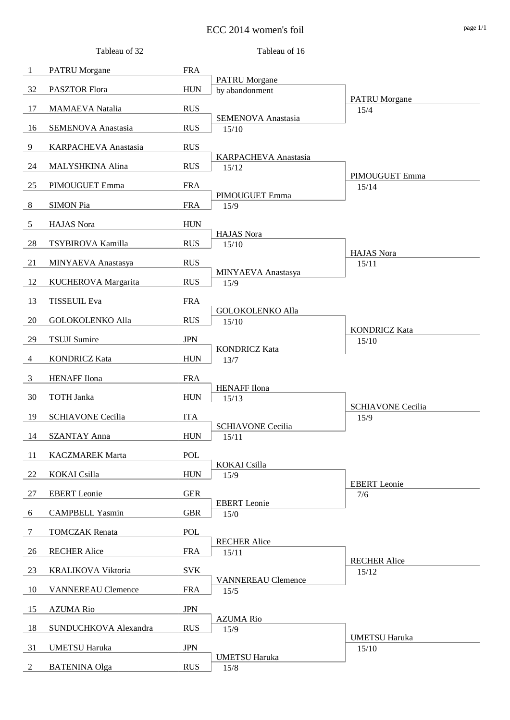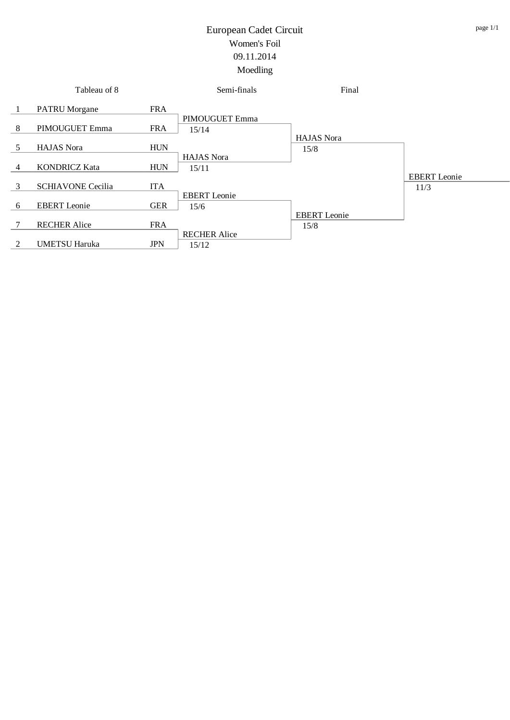|   | Tableau of 8             |            | Semi-finals                  | Final               |                             |
|---|--------------------------|------------|------------------------------|---------------------|-----------------------------|
|   | <b>PATRU</b> Morgane     | <b>FRA</b> |                              |                     |                             |
| 8 | PIMOUGUET Emma           | <b>FRA</b> | PIMOUGUET Emma<br>15/14      |                     |                             |
|   |                          |            |                              | <b>HAJAS</b> Nora   |                             |
| 5 | <b>HAJAS</b> Nora        | <b>HUN</b> | <b>HAJAS</b> Nora            | 15/8                |                             |
| 4 | <b>KONDRICZ Kata</b>     | <b>HUN</b> | 15/11                        |                     |                             |
| 3 | <b>SCHIAVONE Cecilia</b> | <b>ITA</b> |                              |                     | <b>EBERT</b> Leonie<br>11/3 |
| 6 | <b>EBERT</b> Leonie      | <b>GER</b> | <b>EBERT</b> Leonie          |                     |                             |
|   |                          |            | 15/6                         | <b>EBERT</b> Leonie |                             |
| 7 | <b>RECHER Alice</b>      | <b>FRA</b> |                              | 15/8                |                             |
| 2 | <b>UMETSU Haruka</b>     | <b>JPN</b> | <b>RECHER Alice</b><br>15/12 |                     |                             |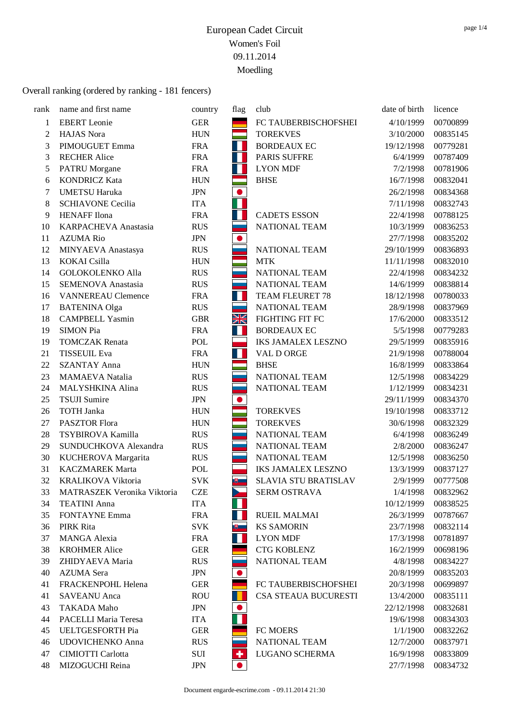| rank           | name and first name         | country      | flag           | club                      | date of birth | licence  |
|----------------|-----------------------------|--------------|----------------|---------------------------|---------------|----------|
| $\mathbf{1}$   | <b>EBERT</b> Leonie         | <b>GER</b>   |                | FC TAUBERBISCHOFSHEI      | 4/10/1999     | 00700899 |
| $\overline{c}$ | <b>HAJAS</b> Nora           | <b>HUN</b>   |                | <b>TOREKVES</b>           | 3/10/2000     | 00835145 |
| 3              | PIMOUGUET Emma              | <b>FRA</b>   | Ш              | <b>BORDEAUX EC</b>        | 19/12/1998    | 00779281 |
| 3              | <b>RECHER Alice</b>         | <b>FRA</b>   | H L            | PARIS SUFFRE              | 6/4/1999      | 00787409 |
| 5              | <b>PATRU</b> Morgane        | <b>FRA</b>   | $\mathbb{R}^n$ | <b>LYON MDF</b>           | 7/2/1998      | 00781906 |
| 6              | <b>KONDRICZ Kata</b>        | <b>HUN</b>   |                | <b>BHSE</b>               | 16/7/1998     | 00832041 |
| 7              | <b>UMETSU Haruka</b>        | $\mbox{JPN}$ | $\bullet$      |                           | 26/2/1998     | 00834368 |
| 8              | <b>SCHIAVONE Cecilia</b>    | <b>ITA</b>   | П              |                           | 7/11/1998     | 00832743 |
| 9              | <b>HENAFF</b> Ilona         | <b>FRA</b>   | H.             | <b>CADETS ESSON</b>       | 22/4/1998     | 00788125 |
| 10             | KARPACHEVA Anastasia        | <b>RUS</b>   |                | <b>NATIONAL TEAM</b>      | 10/3/1999     | 00836253 |
| 11             | <b>AZUMA Rio</b>            | $\mbox{JPN}$ | $\bullet$      |                           | 27/7/1998     | 00835202 |
| 12             | MINYAEVA Anastasya          | <b>RUS</b>   |                | NATIONAL TEAM             | 29/10/1999    | 00836893 |
| 13             | <b>KOKAI</b> Csilla         | <b>HUN</b>   |                | <b>MTK</b>                | 11/11/1998    | 00832010 |
| 14             | <b>GOLOKOLENKO Alla</b>     | <b>RUS</b>   |                | <b>NATIONAL TEAM</b>      | 22/4/1998     | 00834232 |
| 15             | <b>SEMENOVA Anastasia</b>   | <b>RUS</b>   |                | NATIONAL TEAM             | 14/6/1999     | 00838814 |
| 16             | <b>VANNEREAU Clemence</b>   | <b>FRA</b>   | Ш              | TEAM FLEURET 78           | 18/12/1998    | 00780033 |
| 17             | <b>BATENINA Olga</b>        | <b>RUS</b>   |                | NATIONAL TEAM             | 28/9/1998     | 00837969 |
| 18             | <b>CAMPBELL Yasmin</b>      | <b>GBR</b>   | XK             | FIGHTING FIT FC           | 17/6/2000     | 00833512 |
| 19             | <b>SIMON Pia</b>            | <b>FRA</b>   | W              | <b>BORDEAUX EC</b>        | 5/5/1998      | 00779283 |
| 19             | <b>TOMCZAK</b> Renata       | POL          |                | <b>IKS JAMALEX LESZNO</b> | 29/5/1999     | 00835916 |
| 21             | <b>TISSEUIL Eva</b>         | <b>FRA</b>   | M.             | VAL D ORGE                | 21/9/1998     | 00788004 |
| 22             | <b>SZANTAY Anna</b>         | <b>HUN</b>   | er<br>Here     | <b>BHSE</b>               | 16/8/1999     | 00833864 |
| 23             | <b>MAMAEVA</b> Natalia      | <b>RUS</b>   |                | NATIONAL TEAM             | 12/5/1998     | 00834229 |
| 24             | MALYSHKINA Alina            | <b>RUS</b>   |                | NATIONAL TEAM             | 1/12/1999     | 00834231 |
| 25             | <b>TSUJI</b> Sumire         | <b>JPN</b>   | $\bullet$      |                           | 29/11/1999    | 00834370 |
| 26             | <b>TOTH Janka</b>           | <b>HUN</b>   |                | <b>TOREKVES</b>           | 19/10/1998    | 00833712 |
| 27             | PASZTOR Flora               | <b>HUN</b>   |                | <b>TOREKVES</b>           | 30/6/1998     | 00832329 |
| 28             | TSYBIROVA Kamilla           | <b>RUS</b>   |                | NATIONAL TEAM             | 6/4/1998      | 00836249 |
| 29             | SUNDUCHKOVA Alexandra       | <b>RUS</b>   |                | NATIONAL TEAM             | 2/8/2000      | 00836247 |
| 30             | KUCHEROVA Margarita         | <b>RUS</b>   |                | NATIONAL TEAM             | 12/5/1998     | 00836250 |
| 31             | <b>KACZMAREK Marta</b>      | POL          |                | <b>IKS JAMALEX LESZNO</b> | 13/3/1999     | 00837127 |
| 32             | KRALIKOVA Viktoria          | <b>SVK</b>   | 週              | SLAVIA STU BRATISLAV      | 2/9/1999      | 00777508 |
| 33             | MATRASZEK Veronika Viktoria | <b>CZE</b>   |                | SERM OSTRAVA              | 1/4/1998      | 00832962 |
| 34             | <b>TEATINI Anna</b>         | <b>ITA</b>   |                |                           | 10/12/1999    | 00838525 |
| 35             | <b>FONTAYNE Emma</b>        | <b>FRA</b>   | Ш              | <b>RUEIL MALMAI</b>       | 26/3/1999     | 00787667 |
| 36             | PIRK Rita                   | <b>SVK</b>   | $\mathbb{B}$   | <b>KS SAMORIN</b>         | 23/7/1998     | 00832114 |
| 37             | MANGA Alexia                | <b>FRA</b>   | Ш              | <b>LYON MDF</b>           | 17/3/1998     | 00781897 |
| 38             | <b>KROHMER Alice</b>        | <b>GER</b>   |                | <b>CTG KOBLENZ</b>        | 16/2/1999     | 00698196 |
| 39             | ZHIDYAEVA Maria             | <b>RUS</b>   |                | NATIONAL TEAM             | 4/8/1998      | 00834227 |
| 40             | <b>AZUMA</b> Sera           | JPN          | $\bullet$      |                           | 20/8/1999     | 00835203 |
| 41             | FRACKENPOHL Helena          | <b>GER</b>   |                | FC TAUBERBISCHOFSHEI      | 20/3/1998     | 00699897 |
| 41             | <b>SAVEANU</b> Anca         | <b>ROU</b>   |                | CSA STEAUA BUCURESTI      | 13/4/2000     | 00835111 |
| 43             | TAKADA Maho                 | <b>JPN</b>   | $\bullet$      |                           | 22/12/1998    | 00832681 |
| 44             | PACELLI Maria Teresa        | <b>ITA</b>   |                |                           | 19/6/1998     | 00834303 |
| 45             | UELTGESFORTH Pia            | <b>GER</b>   |                | FC MOERS                  | 1/1/1900      | 00832262 |
| 46             | UDOVICHENKO Anna            | <b>RUS</b>   |                | NATIONAL TEAM             | 12/7/2000     | 00837971 |
| 47             | <b>CIMIOTTI Carlotta</b>    | SUI          | ٠              | LUGANO SCHERMA            | 16/9/1998     | 00833809 |
| 48             | MIZOGUCHI Reina             | <b>JPN</b>   | $\bullet$      |                           | 27/7/1998     | 00834732 |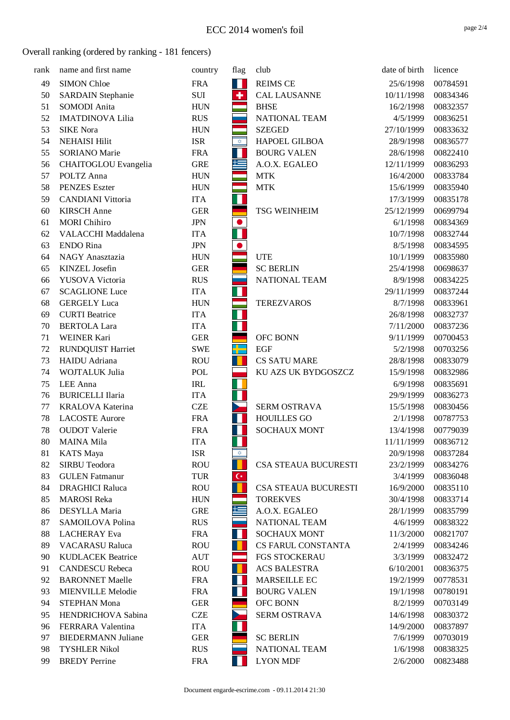| rank | name and first name       | country    | flag                                  | club                        | date of birth | licence  |
|------|---------------------------|------------|---------------------------------------|-----------------------------|---------------|----------|
| 49   | <b>SIMON Chloe</b>        | <b>FRA</b> | W                                     | <b>REIMS CE</b>             | 25/6/1998     | 00784591 |
| 50   | <b>SARDAIN Stephanie</b>  | SUI        | ÷                                     | <b>CAL LAUSANNE</b>         | 10/11/1998    | 00834346 |
| 51   | SOMODI Anita              | <b>HUN</b> |                                       | <b>BHSE</b>                 | 16/2/1998     | 00832357 |
| 52   | <b>IMATDINOVA Lilia</b>   | <b>RUS</b> |                                       | NATIONAL TEAM               | 4/5/1999      | 00836251 |
| 53   | <b>SIKE Nora</b>          | <b>HUN</b> |                                       | <b>SZEGED</b>               | 27/10/1999    | 00833632 |
| 54   | <b>NEHAISI Hilit</b>      | <b>ISR</b> | $\frac{\triangleleft}{\triangleleft}$ | HAPOEL GILBOA               | 28/9/1998     | 00836577 |
| 55   | <b>SORIANO</b> Marie      | <b>FRA</b> | Н                                     | <b>BOURG VALEN</b>          | 28/6/1998     | 00822410 |
| 56   | CHAITOGLOU Evangelia      | <b>GRE</b> | 隼                                     | A.O.X. EGALEO               | 12/11/1999    | 00836293 |
| 57   | POLTZ Anna                | <b>HUN</b> |                                       | <b>MTK</b>                  | 16/4/2000     | 00833784 |
| 58   | <b>PENZES</b> Eszter      | <b>HUN</b> |                                       | <b>MTK</b>                  | 15/6/1999     | 00835940 |
| 59   | <b>CANDIANI</b> Vittoria  | <b>ITA</b> |                                       |                             | 17/3/1999     | 00835178 |
| 60   | <b>KIRSCH</b> Anne        | <b>GER</b> |                                       | <b>TSG WEINHEIM</b>         | 25/12/1999    | 00699794 |
| 61   | <b>MORI</b> Chihiro       | <b>JPN</b> | $\bullet$                             |                             | 6/1/1998      | 00834369 |
| 62   | VALACCHI Maddalena        | <b>ITA</b> |                                       |                             | 10/7/1998     | 00832744 |
| 63   | <b>ENDO</b> Rina          | <b>JPN</b> | $\bullet$                             |                             | 8/5/1998      | 00834595 |
| 64   | NAGY Anasztazia           | <b>HUN</b> |                                       | <b>UTE</b>                  | 10/1/1999     | 00835980 |
| 65   | KINZEL Josefin            | <b>GER</b> |                                       | <b>SC BERLIN</b>            | 25/4/1998     | 00698637 |
| 66   | YUSOVA Victoria           | <b>RUS</b> |                                       | NATIONAL TEAM               | 8/9/1998      | 00834225 |
| 67   | <b>SCAGLIONE Luce</b>     | <b>ITA</b> | Н                                     |                             | 29/11/1999    | 00837244 |
| 68   | <b>GERGELY Luca</b>       | <b>HUN</b> |                                       | <b>TEREZVAROS</b>           | 8/7/1998      | 00833961 |
| 69   | <b>CURTI</b> Beatrice     | <b>ITA</b> | T.                                    |                             | 26/8/1998     | 00832737 |
| 70   | <b>BERTOLA Lara</b>       | <b>ITA</b> | П                                     |                             | 7/11/2000     | 00837236 |
| 71   | WEINER Kari               | <b>GER</b> |                                       | OFC BONN                    | 9/11/1999     | 00700453 |
| 72   | <b>RUNDQUIST Harriet</b>  | <b>SWE</b> | 뿌                                     | <b>EGF</b>                  | 5/2/1998      | 00703256 |
| 73   | HAIDU Adriana             | <b>ROU</b> |                                       | <b>CS SATU MARE</b>         | 28/8/1998     | 00833079 |
| 74   | WOJTALUK Julia            | POL        |                                       | KU AZS UK BYDGOSZCZ         | 15/9/1998     | 00832986 |
| 75   | LEE Anna                  | <b>IRL</b> | Ш                                     |                             | 6/9/1998      | 00835691 |
| 76   | <b>BURICELLI Ilaria</b>   | <b>ITA</b> |                                       |                             | 29/9/1999     | 00836273 |
| 77   | KRALOVA Katerina          | <b>CZE</b> | $\blacktriangleright$                 | SERM OSTRAVA                | 15/5/1998     | 00830456 |
| 78   | <b>LACOSTE Aurore</b>     | <b>FRA</b> | $\mathcal{A}$                         | <b>HOUILLES GO</b>          | 2/1/1998      | 00787753 |
| 78   | <b>OUDOT</b> Valerie      | <b>FRA</b> | Ш                                     | <b>SOCHAUX MONT</b>         | 13/4/1998     | 00779039 |
| 80   | <b>MAINA Mila</b>         | <b>ITA</b> |                                       |                             | 11/11/1999    | 00836712 |
| 81   | <b>KATS</b> Maya          | <b>ISR</b> | ХÞ.                                   |                             | 20/9/1998     | 00837284 |
| 82   | SIRBU Teodora             | <b>ROU</b> |                                       | CSA STEAUA BUCURESTI        | 23/2/1999     | 00834276 |
| 83   | <b>GULEN</b> Fatmanur     | <b>TUR</b> | $\mathsf{C}^\star$                    |                             | 3/4/1999      | 00836048 |
| 84   | <b>DRAGHICI Raluca</b>    | <b>ROU</b> | н                                     | <b>CSA STEAUA BUCURESTI</b> | 16/9/2000     | 00835110 |
| 85   | <b>MAROSI</b> Reka        | <b>HUN</b> |                                       | <b>TOREKVES</b>             | 30/4/1998     | 00833714 |
| 86   | DESYLLA Maria             | <b>GRE</b> | 些                                     | A.O.X. EGALEO               | 28/1/1999     | 00835799 |
| 87   | SAMOILOVA Polina          | <b>RUS</b> |                                       | NATIONAL TEAM               | 4/6/1999      | 00838322 |
| 88   | <b>LACHERAY</b> Eva       | <b>FRA</b> | Ш                                     | <b>SOCHAUX MONT</b>         | 11/3/2000     | 00821707 |
| 89   | <b>VACARASU Raluca</b>    | <b>ROU</b> |                                       | CS FARUL CONSTANTA          | 2/4/1999      | 00834246 |
| 90   | <b>KUDLACEK Beatrice</b>  | <b>AUT</b> | ═                                     | <b>FGS STOCKERAU</b>        | 3/3/1999      | 00832472 |
| 91   | <b>CANDESCU Rebeca</b>    | <b>ROU</b> |                                       | <b>ACS BALESTRA</b>         | 6/10/2001     | 00836375 |
| 92   | <b>BARONNET Maelle</b>    | <b>FRA</b> | Ш                                     | MARSEILLE EC                | 19/2/1999     | 00778531 |
| 93   | <b>MIENVILLE Melodie</b>  | <b>FRA</b> | Ш                                     | <b>BOURG VALEN</b>          | 19/1/1998     | 00780191 |
| 94   | <b>STEPHAN Mona</b>       | <b>GER</b> |                                       | OFC BONN                    | 8/2/1999      | 00703149 |
| 95   | HENDRICHOVA Sabina        | <b>CZE</b> |                                       | <b>SERM OSTRAVA</b>         | 14/6/1998     | 00830372 |
| 96   | FERRARA Valentina         | <b>ITA</b> |                                       |                             | 14/9/2000     | 00837897 |
| 97   | <b>BIEDERMANN Juliane</b> | <b>GER</b> |                                       | <b>SC BERLIN</b>            | 7/6/1999      | 00703019 |
| 98   | <b>TYSHLER Nikol</b>      | <b>RUS</b> |                                       | NATIONAL TEAM               | 1/6/1998      | 00838325 |
| 99   | <b>BREDY</b> Perrine      | <b>FRA</b> |                                       | <b>LYON MDF</b>             | 2/6/2000      | 00823488 |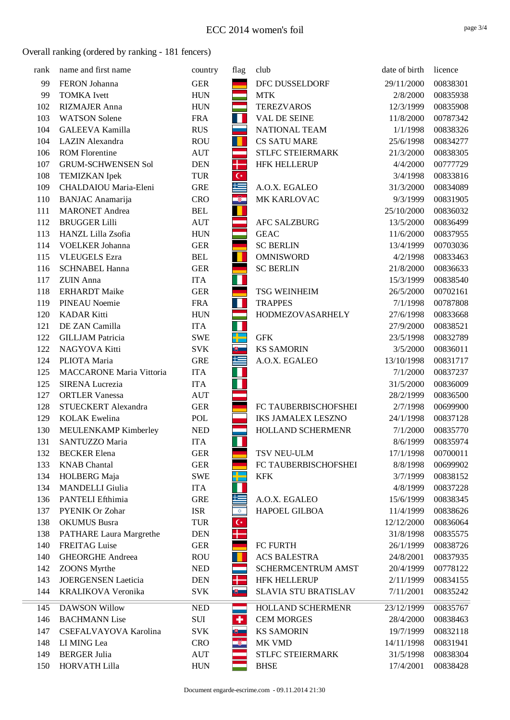| rank | name and first name             | country    | flag                       | club                      | date of birth | licence  |
|------|---------------------------------|------------|----------------------------|---------------------------|---------------|----------|
| 99   | FERON Johanna                   | <b>GER</b> |                            | DFC DUSSELDORF            | 29/11/2000    | 00838301 |
| 99   | <b>TOMKA</b> Ivett              | <b>HUN</b> |                            | <b>MTK</b>                | 2/8/2000      | 00835938 |
| 102  | <b>RIZMAJER Anna</b>            | <b>HUN</b> |                            | <b>TEREZVAROS</b>         | 12/3/1999     | 00835908 |
| 103  | <b>WATSON Solene</b>            | <b>FRA</b> | Ш                          | VAL DE SEINE              | 11/8/2000     | 00787342 |
| 104  | <b>GALEEVA Kamilla</b>          | <b>RUS</b> |                            | NATIONAL TEAM             | 1/1/1998      | 00838326 |
| 104  | LAZIN Alexandra                 | <b>ROU</b> | П                          | <b>CS SATU MARE</b>       | 25/6/1998     | 00834277 |
| 106  | <b>ROM Florentine</b>           | <b>AUT</b> |                            | STLFC STEIERMARK          | 21/3/2000     | 00838305 |
| 107  | <b>GRUM-SCHWENSEN Sol</b>       | <b>DEN</b> | ╋                          | <b>HFK HELLERUP</b>       | 4/4/2000      | 00777729 |
| 108  | <b>TEMIZKAN</b> Ipek            | <b>TUR</b> | $\mathsf{C}^*$             |                           | 3/4/1998      | 00833816 |
| 109  | CHALDAIOU Maria-Eleni           | <b>GRE</b> | كا                         | A.O.X. EGALEO             | 31/3/2000     | 00834089 |
| 110  | <b>BANJAC</b> Anamarija         | <b>CRO</b> | İ                          | MK KARLOVAC               | 9/3/1999      | 00831905 |
| 111  | <b>MARONET</b> Andrea           | <b>BEL</b> |                            |                           | 25/10/2000    | 00836032 |
| 112  | <b>BRUGGER Lilli</b>            | <b>AUT</b> |                            | <b>AFC SALZBURG</b>       | 13/5/2000     | 00836499 |
| 113  | HANZL Lilla Zsofia              | <b>HUN</b> |                            | <b>GEAC</b>               | 11/6/2000     | 00837955 |
| 114  | <b>VOELKER Johanna</b>          | <b>GER</b> |                            | <b>SC BERLIN</b>          | 13/4/1999     | 00703036 |
| 115  | <b>VLEUGELS</b> Ezra            | <b>BEL</b> | ш                          | <b>OMNISWORD</b>          | 4/2/1998      | 00833463 |
| 116  | <b>SCHNABEL Hanna</b>           | <b>GER</b> |                            | <b>SC BERLIN</b>          | 21/8/2000     | 00836633 |
| 117  | <b>ZUIN</b> Anna                | <b>ITA</b> |                            |                           | 15/3/1999     | 00838540 |
| 118  | <b>ERHARDT</b> Maike            | <b>GER</b> |                            | <b>TSG WEINHEIM</b>       | 26/5/2000     | 00702161 |
| 119  | <b>PINEAU Noemie</b>            | <b>FRA</b> | H.                         | <b>TRAPPES</b>            | 7/1/1998      | 00787808 |
| 120  | <b>KADAR Kitti</b>              | <b>HUN</b> |                            | HODMEZOVASARHELY          | 27/6/1998     | 00833668 |
| 121  | DE ZAN Camilla                  | <b>ITA</b> | П                          |                           | 27/9/2000     | 00838521 |
| 122  | <b>GILLJAM Patricia</b>         | <b>SWE</b> |                            | <b>GFK</b>                | 23/5/1998     | 00832789 |
| 122  | NAGYOVA Kitti                   | <b>SVK</b> | 問                          | <b>KS SAMORIN</b>         | 3/5/2000      | 00836011 |
| 124  | PLIOTA Maria                    | <b>GRE</b> | 똑                          | A.O.X. EGALEO             | 13/10/1998    | 00831717 |
| 125  | <b>MACCARONE Maria Vittoria</b> | <b>ITA</b> |                            |                           | 7/1/2000      | 00837237 |
| 125  | <b>SIRENA Lucrezia</b>          | <b>ITA</b> |                            |                           | 31/5/2000     | 00836009 |
| 127  | <b>ORTLER Vanessa</b>           | <b>AUT</b> |                            |                           | 28/2/1999     | 00836500 |
| 128  | STUECKERT Alexandra             | <b>GER</b> |                            | FC TAUBERBISCHOFSHEI      | 2/7/1998      | 00699900 |
| 129  | <b>KOLAK</b> Ewelina            | POL        |                            | <b>IKS JAMALEX LESZNO</b> | 24/1/1998     | 00837128 |
| 130  | MEULENKAMP Kimberley            | <b>NED</b> |                            | HOLLAND SCHERMENR         | 7/1/2000      | 00835770 |
| 131  | SANTUZZO Maria                  | <b>ITA</b> | Н                          |                           | 8/6/1999      | 00835974 |
| 132  | <b>BECKER</b> Elena             | <b>GER</b> |                            | TSV NEU-ULM               | 17/1/1998     | 00700011 |
| 133  | <b>KNAB</b> Chantal             | <b>GER</b> |                            | FC TAUBERBISCHOFSHEI      | 8/8/1998      | 00699902 |
| 134  | HOLBERG Maja                    | <b>SWE</b> |                            | <b>KFK</b>                | 3/7/1999      | 00838152 |
| 134  | <b>MANDELLI</b> Giulia          | <b>ITA</b> |                            |                           | 4/8/1999      | 00837228 |
| 136  | PANTELI Efthimia                | <b>GRE</b> |                            | A.O.X. EGALEO             | 15/6/1999     | 00838345 |
| 137  | <b>PYENIK Or Zohar</b>          | <b>ISR</b> | $\stackrel{\star}{\nabla}$ | HAPOEL GILBOA             | 11/4/1999     | 00838626 |
| 138  | <b>OKUMUS</b> Busra             | <b>TUR</b> | $\mathsf{C}^*$             |                           | 12/12/2000    | 00836064 |
| 138  | <b>PATHARE Laura Margrethe</b>  | <b>DEN</b> |                            |                           | 31/8/1998     | 00835575 |
| 140  | <b>FREITAG</b> Luise            | <b>GER</b> |                            | FC FURTH                  | 26/1/1999     | 00838726 |
| 140  | <b>GHEORGHE Andreea</b>         | <b>ROU</b> |                            | <b>ACS BALESTRA</b>       | 24/8/2001     | 00837935 |
| 142  | <b>ZOONS</b> Myrthe             | <b>NED</b> |                            | <b>SCHERMCENTRUM AMST</b> | 20/4/1999     | 00778122 |
| 143  | <b>JOERGENSEN Laeticia</b>      | <b>DEN</b> |                            | <b>HFK HELLERUP</b>       | 2/11/1999     | 00834155 |
| 144  | KRALIKOVA Veronika              | <b>SVK</b> | 吧                          | SLAVIA STU BRATISLAV      | 7/11/2001     | 00835242 |
| 145  | <b>DAWSON Willow</b>            | <b>NED</b> |                            | HOLLAND SCHERMENR         | 23/12/1999    | 00835767 |
| 146  | <b>BACHMANN</b> Lise            | SUI        | ÷                          | <b>CEM MORGES</b>         | 28/4/2000     | 00838463 |
| 147  | CSEFALVAYOVA Karolina           | <b>SVK</b> | ⊎                          | <b>KS SAMORIN</b>         | 19/7/1999     | 00832118 |
| 148  | LI MING Lea                     | <b>CRO</b> | ŵ.                         | MK VMD                    | 14/11/1998    | 00831941 |
| 149  | <b>BERGER Julia</b>             | <b>AUT</b> |                            | STLFC STEIERMARK          | 31/5/1998     | 00838304 |
| 150  | HORVATH Lilla                   | <b>HUN</b> |                            | <b>BHSE</b>               | 17/4/2001     | 00838428 |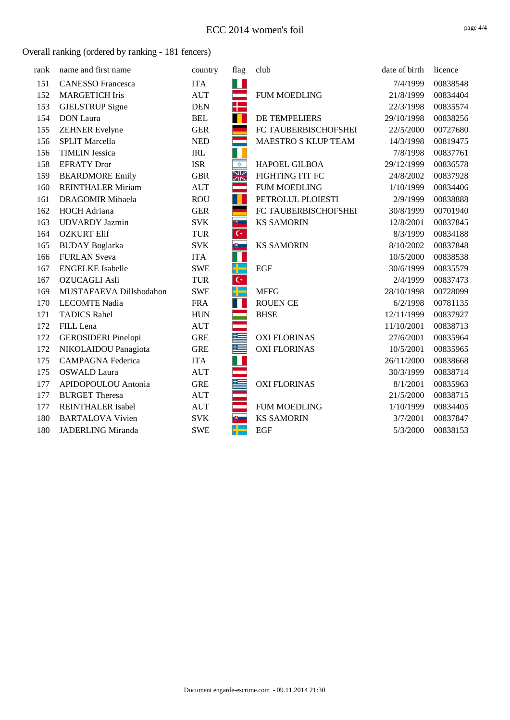| rank | name and first name        | country    | flag                             | club                 | date of birth | licence  |
|------|----------------------------|------------|----------------------------------|----------------------|---------------|----------|
| 151  | <b>CANESSO</b> Francesca   | <b>ITA</b> | H                                |                      | 7/4/1999      | 00838548 |
| 152  | <b>MARGETICH Iris</b>      | <b>AUT</b> | $\Rightarrow$                    | <b>FUM MOEDLING</b>  | 21/8/1999     | 00834404 |
| 153  | <b>GJELSTRUP</b> Signe     | <b>DEN</b> | ╈                                |                      | 22/3/1998     | 00835574 |
| 154  | <b>DON</b> Laura           | <b>BEL</b> | T                                | DE TEMPELIERS        | 29/10/1998    | 00838256 |
| 155  | <b>ZEHNER Evelyne</b>      | <b>GER</b> |                                  | FC TAUBERBISCHOFSHEI | 22/5/2000     | 00727680 |
| 156  | <b>SPLIT Marcella</b>      | <b>NED</b> |                                  | MAESTRO S KLUP TEAM  | 14/3/1998     | 00819475 |
| 156  | <b>TIMLIN Jessica</b>      | <b>IRL</b> | П                                |                      | 7/8/1998      | 00837761 |
| 158  | <b>EFRATY Dror</b>         | <b>ISR</b> | $\overline{\mathbf{\hat{\phi}}}$ | HAPOEL GILBOA        | 29/12/1999    | 00836578 |
| 159  | <b>BEARDMORE Emily</b>     | <b>GBR</b> | Ж                                | FIGHTING FIT FC      | 24/8/2002     | 00837928 |
| 160  | <b>REINTHALER Miriam</b>   | <b>AUT</b> | an<br>Ba                         | <b>FUM MOEDLING</b>  | 1/10/1999     | 00834406 |
| 161  | <b>DRAGOMIR Mihaela</b>    | <b>ROU</b> | п                                | PETROLUL PLOIESTI    | 2/9/1999      | 00838888 |
| 162  | <b>HOCH</b> Adriana        | <b>GER</b> |                                  | FC TAUBERBISCHOFSHEI | 30/8/1999     | 00701940 |
| 163  | <b>UDVARDY</b> Jazmin      | <b>SVK</b> | ■■                               | <b>KS SAMORIN</b>    | 12/8/2001     | 00837845 |
| 164  | <b>OZKURT Elif</b>         | <b>TUR</b> | $\overline{C^*}$                 |                      | 8/3/1999      | 00834188 |
| 165  | <b>BUDAY</b> Boglarka      | <b>SVK</b> | 遇上                               | <b>KS SAMORIN</b>    | 8/10/2002     | 00837848 |
| 166  | <b>FURLAN</b> Sveva        | <b>ITA</b> | T.                               |                      | 10/5/2000     | 00838538 |
| 167  | <b>ENGELKE</b> Isabelle    | <b>SWE</b> | كاد                              | <b>EGF</b>           | 30/6/1999     | 00835579 |
| 167  | <b>OZUCAGLI Asli</b>       | <b>TUR</b> | $\overline{C^*}$                 |                      | 2/4/1999      | 00837473 |
| 169  | MUSTAFAEVA Dillshodahon    | <b>SWE</b> | H                                | <b>MFFG</b>          | 28/10/1998    | 00728099 |
| 170  | <b>LECOMTE Nadia</b>       | <b>FRA</b> | П                                | <b>ROUEN CE</b>      | 6/2/1998      | 00781135 |
| 171  | <b>TADICS Rahel</b>        | <b>HUN</b> |                                  | <b>BHSE</b>          | 12/11/1999    | 00837927 |
| 172  | FILL Lena                  | <b>AUT</b> |                                  |                      | 11/10/2001    | 00838713 |
| 172  | <b>GEROSIDERI</b> Pinelopi | <b>GRE</b> | æ                                | <b>OXI FLORINAS</b>  | 27/6/2001     | 00835964 |
| 172  | NIKOLAIDOU Panagiota       | <b>GRE</b> | 集                                | <b>OXI FLORINAS</b>  | 10/5/2001     | 00835965 |
| 175  | <b>CAMPAGNA Federica</b>   | <b>ITA</b> | П                                |                      | 26/11/2000    | 00838668 |
| 175  | <b>OSWALD</b> Laura        | <b>AUT</b> |                                  |                      | 30/3/1999     | 00838714 |
| 177  | APIDOPOULOU Antonia        | <b>GRE</b> |                                  | <b>OXI FLORINAS</b>  | 8/1/2001      | 00835963 |
| 177  | <b>BURGET Theresa</b>      | <b>AUT</b> |                                  |                      | 21/5/2000     | 00838715 |
| 177  | <b>REINTHALER Isabel</b>   | <b>AUT</b> |                                  | <b>FUM MOEDLING</b>  | 1/10/1999     | 00834405 |
| 180  | <b>BARTALOVA Vivien</b>    | <b>SVK</b> |                                  | <b>KS SAMORIN</b>    | 3/7/2001      | 00837847 |
| 180  | JADERLING Miranda          | <b>SWE</b> | <u>a p</u>                       | <b>EGF</b>           | 5/3/2000      | 00838153 |